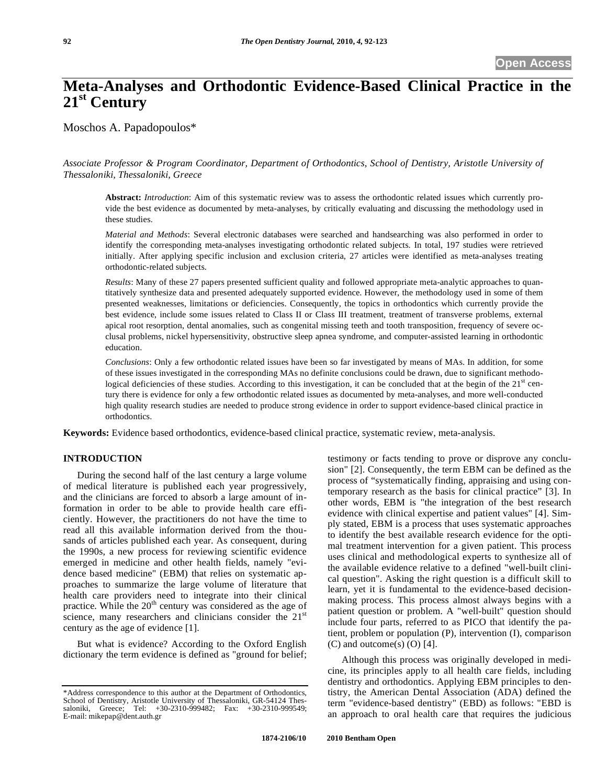# **Meta-Analyses and Orthodontic Evidence-Based Clinical Practice in the 21st Century**

Moschos A. Papadopoulos\*

*Associate Professor & Program Coordinator, Department of Orthodontics, School of Dentistry, Aristotle University of Thessaloniki, Thessaloniki, Greece* 

**Abstract:** *Introduction*: Aim of this systematic review was to assess the orthodontic related issues which currently provide the best evidence as documented by meta-analyses, by critically evaluating and discussing the methodology used in these studies.

*Material and Methods*: Several electronic databases were searched and handsearching was also performed in order to identify the corresponding meta-analyses investigating orthodontic related subjects. In total, 197 studies were retrieved initially. After applying specific inclusion and exclusion criteria, 27 articles were identified as meta-analyses treating orthodontic-related subjects.

*Results*: Many of these 27 papers presented sufficient quality and followed appropriate meta-analytic approaches to quantitatively synthesize data and presented adequately supported evidence. However, the methodology used in some of them presented weaknesses, limitations or deficiencies. Consequently, the topics in orthodontics which currently provide the best evidence, include some issues related to Class II or Class III treatment, treatment of transverse problems, external apical root resorption, dental anomalies, such as congenital missing teeth and tooth transposition, frequency of severe occlusal problems, nickel hypersensitivity, obstructive sleep apnea syndrome, and computer-assisted learning in orthodontic education.

*Conclusions*: Only a few orthodontic related issues have been so far investigated by means of MAs. In addition, for some of these issues investigated in the corresponding MAs no definite conclusions could be drawn, due to significant methodological deficiencies of these studies. According to this investigation, it can be concluded that at the begin of the  $21<sup>st</sup>$  century there is evidence for only a few orthodontic related issues as documented by meta-analyses, and more well-conducted high quality research studies are needed to produce strong evidence in order to support evidence-based clinical practice in orthodontics.

**Keywords:** Evidence based orthodontics, evidence-based clinical practice, systematic review, meta-analysis.

# **INTRODUCTION**

During the second half of the last century a large volume of medical literature is published each year progressively, and the clinicians are forced to absorb a large amount of information in order to be able to provide health care efficiently. However, the practitioners do not have the time to read all this available information derived from the thousands of articles published each year. As consequent, during the 1990s, a new process for reviewing scientific evidence emerged in medicine and other health fields, namely "evidence based medicine" (EBM) that relies on systematic approaches to summarize the large volume of literature that health care providers need to integrate into their clinical practice. While the 20<sup>th</sup> century was considered as the age of science, many researchers and clinicians consider the  $21<sup>st</sup>$ century as the age of evidence [1].

But what is evidence? According to the Oxford English dictionary the term evidence is defined as "ground for belief; testimony or facts tending to prove or disprove any conclusion" [2]. Consequently, the term EBM can be defined as the process of "systematically finding, appraising and using contemporary research as the basis for clinical practice" [3]. In other words, EBM is "the integration of the best research evidence with clinical expertise and patient values" [4]. Simply stated, EBM is a process that uses systematic approaches to identify the best available research evidence for the optimal treatment intervention for a given patient. This process uses clinical and methodological experts to synthesize all of the available evidence relative to a defined "well-built clinical question". Asking the right question is a difficult skill to learn, yet it is fundamental to the evidence-based decisionmaking process. This process almost always begins with a patient question or problem. A "well-built" question should include four parts, referred to as PICO that identify the patient, problem or population (P), intervention (I), comparison  $(C)$  and outcome(s)  $(O)$  [4].

Although this process was originally developed in medicine, its principles apply to all health care fields, including dentistry and orthodontics. Applying EBM principles to dentistry, the American Dental Association (ADA) defined the term "evidence-based dentistry" (EBD) as follows: "EBD is an approach to oral health care that requires the judicious

<sup>\*</sup>Address correspondence to this author at the Department of Orthodontics, School of Dentistry, Aristotle University of Thessaloniki, GR-54124 Thessaloniki, Greece; Tel: +30-2310-999482; Fax: +30-2310-999549; E-mail: mikepap@dent.auth.gr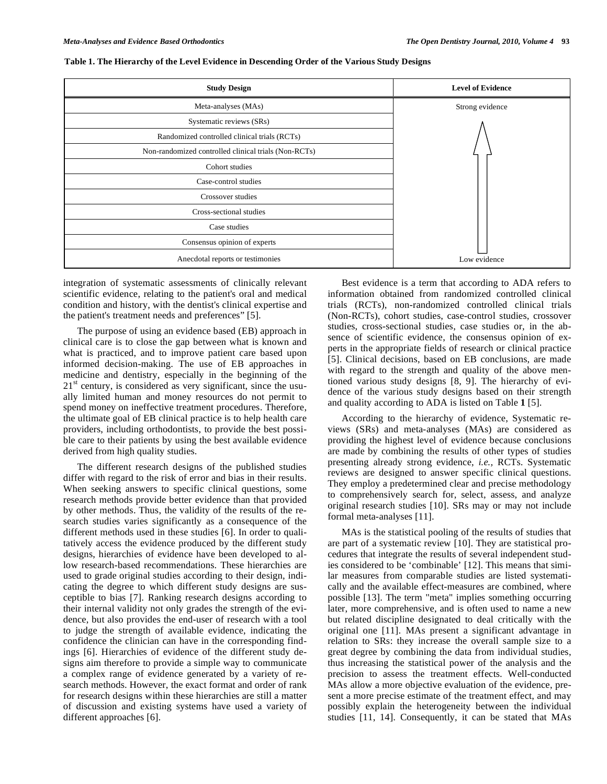| <b>Study Design</b>                                  | <b>Level of Evidence</b> |  |  |  |  |
|------------------------------------------------------|--------------------------|--|--|--|--|
| Meta-analyses (MAs)                                  | Strong evidence          |  |  |  |  |
| Systematic reviews (SRs)                             |                          |  |  |  |  |
| Randomized controlled clinical trials (RCTs)         |                          |  |  |  |  |
| Non-randomized controlled clinical trials (Non-RCTs) |                          |  |  |  |  |
| Cohort studies                                       |                          |  |  |  |  |
| Case-control studies                                 |                          |  |  |  |  |
| Crossover studies                                    |                          |  |  |  |  |
| Cross-sectional studies                              |                          |  |  |  |  |
| Case studies                                         |                          |  |  |  |  |
| Consensus opinion of experts                         |                          |  |  |  |  |
| Anecdotal reports or testimonies                     | Low evidence             |  |  |  |  |

**Table 1. The Hierarchy of the Level Evidence in Descending Order of the Various Study Designs** 

integration of systematic assessments of clinically relevant scientific evidence, relating to the patient's oral and medical condition and history, with the dentist's clinical expertise and the patient's treatment needs and preferences" [5].

The purpose of using an evidence based (EB) approach in clinical care is to close the gap between what is known and what is practiced, and to improve patient care based upon informed decision-making. The use of EB approaches in medicine and dentistry, especially in the beginning of the  $21<sup>st</sup>$  century, is considered as very significant, since the usually limited human and money resources do not permit to spend money on ineffective treatment procedures. Therefore, the ultimate goal of EB clinical practice is to help health care providers, including orthodontists, to provide the best possible care to their patients by using the best available evidence derived from high quality studies.

The different research designs of the published studies differ with regard to the risk of error and bias in their results. When seeking answers to specific clinical questions, some research methods provide better evidence than that provided by other methods. Thus, the validity of the results of the research studies varies significantly as a consequence of the different methods used in these studies [6]. In order to qualitatively access the evidence produced by the different study designs, hierarchies of evidence have been developed to allow research-based recommendations. These hierarchies are used to grade original studies according to their design, indicating the degree to which different study designs are susceptible to bias [7]. Ranking research designs according to their internal validity not only grades the strength of the evidence, but also provides the end-user of research with a tool to judge the strength of available evidence, indicating the confidence the clinician can have in the corresponding findings [6]. Hierarchies of evidence of the different study designs aim therefore to provide a simple way to communicate a complex range of evidence generated by a variety of research methods. However, the exact format and order of rank for research designs within these hierarchies are still a matter of discussion and existing systems have used a variety of different approaches [6].

Best evidence is a term that according to ADA refers to information obtained from randomized controlled clinical trials (RCTs), non-randomized controlled clinical trials (Non-RCTs), cohort studies, case-control studies, crossover studies, cross-sectional studies, case studies or, in the absence of scientific evidence, the consensus opinion of experts in the appropriate fields of research or clinical practice [5]. Clinical decisions, based on EB conclusions, are made with regard to the strength and quality of the above mentioned various study designs [8, 9]. The hierarchy of evidence of the various study designs based on their strength and quality according to ADA is listed on Table **1** [5].

According to the hierarchy of evidence, Systematic reviews (SRs) and meta-analyses (MAs) are considered as providing the highest level of evidence because conclusions are made by combining the results of other types of studies presenting already strong evidence, *i.e.,* RCTs. Systematic reviews are designed to answer specific clinical questions. They employ a predetermined clear and precise methodology to comprehensively search for, select, assess, and analyze original research studies [10]. SRs may or may not include formal meta-analyses [11].

MAs is the statistical pooling of the results of studies that are part of a systematic review [10]. They are statistical procedures that integrate the results of several independent studies considered to be 'combinable' [12]. This means that similar measures from comparable studies are listed systematically and the available effect-measures are combined, where possible [13]. The term "meta" implies something occurring later, more comprehensive, and is often used to name a new but related discipline designated to deal critically with the original one [11]. MAs present a significant advantage in relation to SRs: they increase the overall sample size to a great degree by combining the data from individual studies, thus increasing the statistical power of the analysis and the precision to assess the treatment effects. Well-conducted MAs allow a more objective evaluation of the evidence, present a more precise estimate of the treatment effect, and may possibly explain the heterogeneity between the individual studies [11, 14]. Consequently, it can be stated that MAs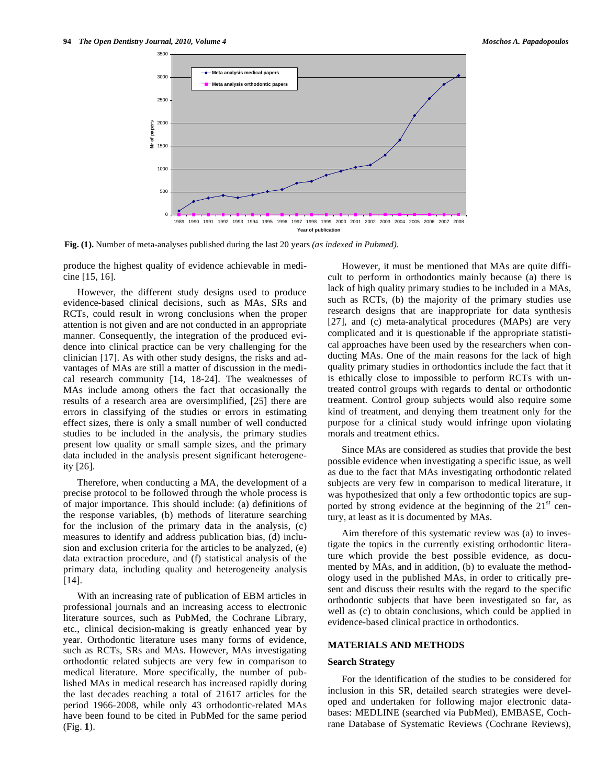

**Fig. (1).** Number of meta-analyses published during the last 20 years *(as indexed in Pubmed).* 

produce the highest quality of evidence achievable in medicine [15, 16].

However, the different study designs used to produce evidence-based clinical decisions, such as MAs, SRs and RCTs, could result in wrong conclusions when the proper attention is not given and are not conducted in an appropriate manner. Consequently, the integration of the produced evidence into clinical practice can be very challenging for the clinician [17]. As with other study designs, the risks and advantages of MAs are still a matter of discussion in the medical research community [14, 18-24]. The weaknesses of MAs include among others the fact that occasionally the results of a research area are oversimplified, [25] there are errors in classifying of the studies or errors in estimating effect sizes, there is only a small number of well conducted studies to be included in the analysis, the primary studies present low quality or small sample sizes, and the primary data included in the analysis present significant heterogeneity [26].

Therefore, when conducting a MA, the development of a precise protocol to be followed through the whole process is of major importance. This should include: (a) definitions of the response variables, (b) methods of literature searching for the inclusion of the primary data in the analysis, (c) measures to identify and address publication bias, (d) inclusion and exclusion criteria for the articles to be analyzed, (e) data extraction procedure, and (f) statistical analysis of the primary data, including quality and heterogeneity analysis [14].

With an increasing rate of publication of EBM articles in professional journals and an increasing access to electronic literature sources, such as PubMed, the Cochrane Library, etc., clinical decision-making is greatly enhanced year by year. Orthodontic literature uses many forms of evidence, such as RCTs, SRs and MAs. However, MAs investigating orthodontic related subjects are very few in comparison to medical literature. More specifically, the number of published MAs in medical research has increased rapidly during the last decades reaching a total of 21617 articles for the period 1966-2008, while only 43 orthodontic-related MAs have been found to be cited in PubMed for the same period (Fig. **1**).

However, it must be mentioned that MAs are quite difficult to perform in orthodontics mainly because (a) there is lack of high quality primary studies to be included in a MAs, such as RCTs, (b) the majority of the primary studies use research designs that are inappropriate for data synthesis [27], and (c) meta-analytical procedures (MAPs) are very complicated and it is questionable if the appropriate statistical approaches have been used by the researchers when conducting MAs. One of the main reasons for the lack of high quality primary studies in orthodontics include the fact that it is ethically close to impossible to perform RCTs with untreated control groups with regards to dental or orthodontic treatment. Control group subjects would also require some kind of treatment, and denying them treatment only for the purpose for a clinical study would infringe upon violating morals and treatment ethics.

Since MAs are considered as studies that provide the best possible evidence when investigating a specific issue, as well as due to the fact that MAs investigating orthodontic related subjects are very few in comparison to medical literature, it was hypothesized that only a few orthodontic topics are supported by strong evidence at the beginning of the  $21<sup>st</sup>$  century, at least as it is documented by MAs.

Aim therefore of this systematic review was (a) to investigate the topics in the currently existing orthodontic literature which provide the best possible evidence, as documented by MAs, and in addition, (b) to evaluate the methodology used in the published MAs, in order to critically present and discuss their results with the regard to the specific orthodontic subjects that have been investigated so far, as well as (c) to obtain conclusions, which could be applied in evidence-based clinical practice in orthodontics.

#### **MATERIALS AND METHODS**

#### **Search Strategy**

For the identification of the studies to be considered for inclusion in this SR, detailed search strategies were developed and undertaken for following major electronic databases: MEDLINE (searched via PubMed), EMBASE, Cochrane Database of Systematic Reviews (Cochrane Reviews),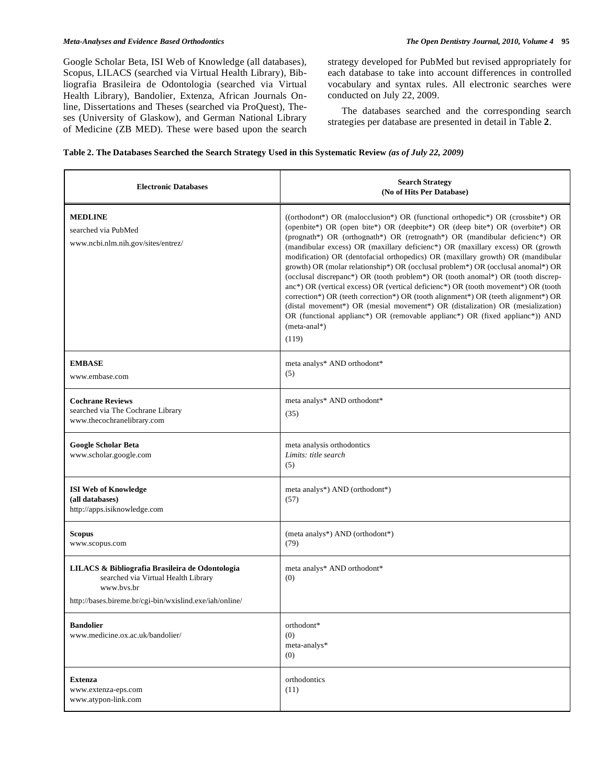Google Scholar Beta, ISI Web of Knowledge (all databases), Scopus, LILACS (searched via Virtual Health Library), Bibliografia Brasileira de Odontologia (searched via Virtual Health Library), Bandolier, Extenza, African Journals Online, Dissertations and Theses (searched via ProQuest), Theses (University of Glaskow), and German National Library of Medicine (ZB MED). These were based upon the search strategy developed for PubMed but revised appropriately for each database to take into account differences in controlled vocabulary and syntax rules. All electronic searches were conducted on July 22, 2009.

The databases searched and the corresponding search strategies per database are presented in detail in Table **2**.

| Table 2. The Databases Searched the Search Strategy Used in this Systematic Review (as of July 22, 2009) |  |  |
|----------------------------------------------------------------------------------------------------------|--|--|
|----------------------------------------------------------------------------------------------------------|--|--|

| <b>Electronic Databases</b>                                                                                                                                     | <b>Search Strategy</b><br>(No of Hits Per Database)                                                                                                                                                                                                                                                                                                                                                                                                                                                                                                                                                                                                                                                                                                                                                                                                                                                                                                                |
|-----------------------------------------------------------------------------------------------------------------------------------------------------------------|--------------------------------------------------------------------------------------------------------------------------------------------------------------------------------------------------------------------------------------------------------------------------------------------------------------------------------------------------------------------------------------------------------------------------------------------------------------------------------------------------------------------------------------------------------------------------------------------------------------------------------------------------------------------------------------------------------------------------------------------------------------------------------------------------------------------------------------------------------------------------------------------------------------------------------------------------------------------|
| <b>MEDLINE</b><br>searched via PubMed<br>www.ncbi.nlm.nih.gov/sites/entrez/                                                                                     | ((orthodont*) OR (malocclusion*) OR (functional orthopedic*) OR (crossbite*) OR<br>(openbite*) OR (open bite*) OR (deepbite*) OR (deep bite*) OR (overbite*) OR<br>(prognath*) OR (orthognath*) OR (retrognath*) OR (mandibular deficienc*) OR<br>(mandibular excess) OR (maxillary deficienc*) OR (maxillary excess) OR (growth<br>modification) OR (dentofacial orthopedics) OR (maxillary growth) OR (mandibular<br>growth) OR (molar relationship*) OR (occlusal problem*) OR (occlusal anomal*) OR<br>(occlusal discrepanc*) OR (tooth problem*) OR (tooth anomal*) OR (tooth discrep-<br>anc*) OR (vertical excess) OR (vertical deficienc*) OR (tooth movement*) OR (tooth<br>correction*) OR (teeth correction*) OR (tooth alignment*) OR (teeth alignment*) OR<br>(distal movement*) OR (mesial movement*) OR (distalization) OR (mesialization)<br>OR (functional applianc*) OR (removable applianc*) OR (fixed applianc*)) AND<br>(meta-anal*)<br>(119) |
| <b>EMBASE</b><br>www.embase.com                                                                                                                                 | meta analys* AND orthodont*<br>(5)                                                                                                                                                                                                                                                                                                                                                                                                                                                                                                                                                                                                                                                                                                                                                                                                                                                                                                                                 |
| <b>Cochrane Reviews</b><br>searched via The Cochrane Library<br>www.thecochranelibrary.com                                                                      | meta analys* AND orthodont*<br>(35)                                                                                                                                                                                                                                                                                                                                                                                                                                                                                                                                                                                                                                                                                                                                                                                                                                                                                                                                |
| <b>Google Scholar Beta</b><br>www.scholar.google.com                                                                                                            | meta analysis orthodontics<br>Limits: title search<br>(5)                                                                                                                                                                                                                                                                                                                                                                                                                                                                                                                                                                                                                                                                                                                                                                                                                                                                                                          |
| <b>ISI Web of Knowledge</b><br>(all databases)<br>http://apps.isiknowledge.com                                                                                  | meta analys*) AND (orthodont*)<br>(57)                                                                                                                                                                                                                                                                                                                                                                                                                                                                                                                                                                                                                                                                                                                                                                                                                                                                                                                             |
| <b>Scopus</b><br>www.scopus.com                                                                                                                                 | (meta analys*) AND (orthodont*)<br>(79)                                                                                                                                                                                                                                                                                                                                                                                                                                                                                                                                                                                                                                                                                                                                                                                                                                                                                                                            |
| LILACS & Bibliografia Brasileira de Odontologia<br>searched via Virtual Health Library<br>www.bys.br<br>http://bases.bireme.br/cgi-bin/wxislind.exe/iah/online/ | meta analys* AND orthodont*<br>(0)                                                                                                                                                                                                                                                                                                                                                                                                                                                                                                                                                                                                                                                                                                                                                                                                                                                                                                                                 |
| <b>Bandolier</b><br>www.medicine.ox.ac.uk/bandolier/                                                                                                            | orthodont*<br>(0)<br>meta-analys*<br>(0)                                                                                                                                                                                                                                                                                                                                                                                                                                                                                                                                                                                                                                                                                                                                                                                                                                                                                                                           |
| <b>Extenza</b><br>www.extenza-eps.com<br>www.atypon-link.com                                                                                                    | orthodontics<br>(11)                                                                                                                                                                                                                                                                                                                                                                                                                                                                                                                                                                                                                                                                                                                                                                                                                                                                                                                                               |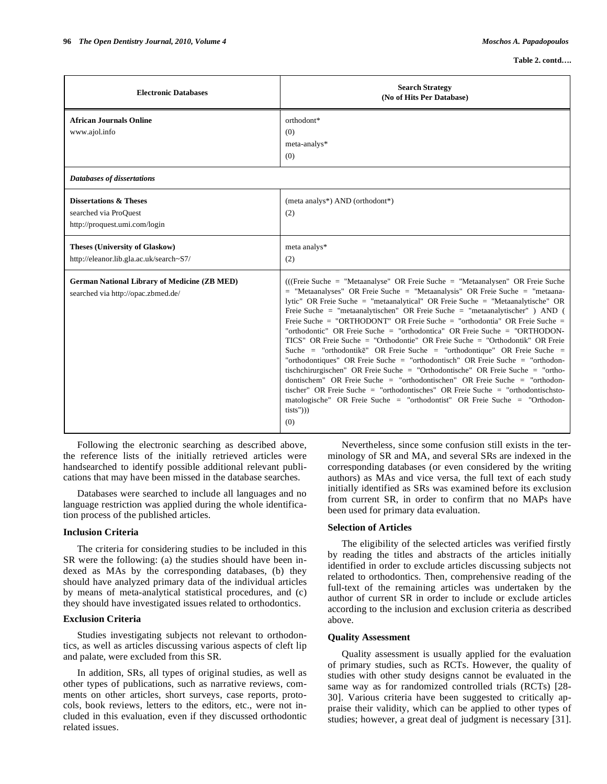| <b>Electronic Databases</b>                                                                 | <b>Search Strategy</b><br>(No of Hits Per Database)                                                                                                                                                                                                                                                                                                                                                                                                                                                                                                                                                                                                                                                                                                                                                                                                                                                                                                                                                                                                                                               |
|---------------------------------------------------------------------------------------------|---------------------------------------------------------------------------------------------------------------------------------------------------------------------------------------------------------------------------------------------------------------------------------------------------------------------------------------------------------------------------------------------------------------------------------------------------------------------------------------------------------------------------------------------------------------------------------------------------------------------------------------------------------------------------------------------------------------------------------------------------------------------------------------------------------------------------------------------------------------------------------------------------------------------------------------------------------------------------------------------------------------------------------------------------------------------------------------------------|
| <b>African Journals Online</b><br>www.ajol.info                                             | orthodont*<br>(0)<br>meta-analys*<br>(0)                                                                                                                                                                                                                                                                                                                                                                                                                                                                                                                                                                                                                                                                                                                                                                                                                                                                                                                                                                                                                                                          |
| Databases of dissertations                                                                  |                                                                                                                                                                                                                                                                                                                                                                                                                                                                                                                                                                                                                                                                                                                                                                                                                                                                                                                                                                                                                                                                                                   |
| <b>Dissertations &amp; Theses</b><br>searched via ProQuest<br>http://proquest.umi.com/login | (meta analys*) AND (orthodont*)<br>(2)                                                                                                                                                                                                                                                                                                                                                                                                                                                                                                                                                                                                                                                                                                                                                                                                                                                                                                                                                                                                                                                            |
| <b>Theses (University of Glaskow)</b><br>http://eleanor.lib.gla.ac.uk/search~S7/            | meta analys*<br>(2)                                                                                                                                                                                                                                                                                                                                                                                                                                                                                                                                                                                                                                                                                                                                                                                                                                                                                                                                                                                                                                                                               |
| <b>German National Library of Medicine (ZB MED)</b><br>searched via http://opac.zbmed.de/   | (((Freie Suche = "Metaanalyse" OR Freie Suche = "Metaanalysen" OR Freie Suche<br>$=$ "Metaanalyses" OR Freie Suche $=$ "Metaanalysis" OR Freie Suche $=$ "metaana-<br>lytic" OR Freie Suche = "metaanalytical" OR Freie Suche = "Metaanalytische" OR<br>Freie Suche = "metaanalytischen" OR Freie Suche = "metaanalytischer" ) AND (<br>Freie Suche = "ORTHODONT" OR Freie Suche = "orthodontia" OR Freie Suche =<br>"orthodontic" OR Freie Suche = "orthodontica" OR Freie Suche = "ORTHODON-<br>TICS" OR Freie Suche = "Orthodontie" OR Freie Suche = "Orthodontik" OR Freie<br>Suche = "orthodontike" OR Freie Suche = "orthodontique" OR Freie Suche =<br>"orthodontiques" OR Freie Suche = "orthodontisch" OR Freie Suche = "orthodon-<br>tischchirurgischen" OR Freie Suche = "Orthodontische" OR Freie Suche = "ortho-<br>dontischem" OR Freie Suche = "orthodontischen" OR Freie Suche = "orthodon-<br>tischer" OR Freie Suche = "orthodontisches" OR Freie Suche = "orthodontischsto-<br>matologische" OR Freie Suche = "orthodontist" OR Freie Suche = "Orthodon-<br>$tists'$ ))<br>(0) |

Following the electronic searching as described above, the reference lists of the initially retrieved articles were handsearched to identify possible additional relevant publications that may have been missed in the database searches.

Databases were searched to include all languages and no language restriction was applied during the whole identification process of the published articles.

#### **Inclusion Criteria**

The criteria for considering studies to be included in this SR were the following: (a) the studies should have been indexed as MAs by the corresponding databases, (b) they should have analyzed primary data of the individual articles by means of meta-analytical statistical procedures, and (c) they should have investigated issues related to orthodontics.

### **Exclusion Criteria**

Studies investigating subjects not relevant to orthodontics, as well as articles discussing various aspects of cleft lip and palate, were excluded from this SR.

In addition, SRs, all types of original studies, as well as other types of publications, such as narrative reviews, comments on other articles, short surveys, case reports, protocols, book reviews, letters to the editors, etc., were not included in this evaluation, even if they discussed orthodontic related issues.

Nevertheless, since some confusion still exists in the terminology of SR and MA, and several SRs are indexed in the corresponding databases (or even considered by the writing authors) as MAs and vice versa, the full text of each study initially identified as SRs was examined before its exclusion from current SR, in order to confirm that no MAPs have been used for primary data evaluation.

#### **Selection of Articles**

The eligibility of the selected articles was verified firstly by reading the titles and abstracts of the articles initially identified in order to exclude articles discussing subjects not related to orthodontics. Then, comprehensive reading of the full-text of the remaining articles was undertaken by the author of current SR in order to include or exclude articles according to the inclusion and exclusion criteria as described above.

#### **Quality Assessment**

Quality assessment is usually applied for the evaluation of primary studies, such as RCTs. However, the quality of studies with other study designs cannot be evaluated in the same way as for randomized controlled trials (RCTs) [28- 30]. Various criteria have been suggested to critically appraise their validity, which can be applied to other types of studies; however, a great deal of judgment is necessary [31].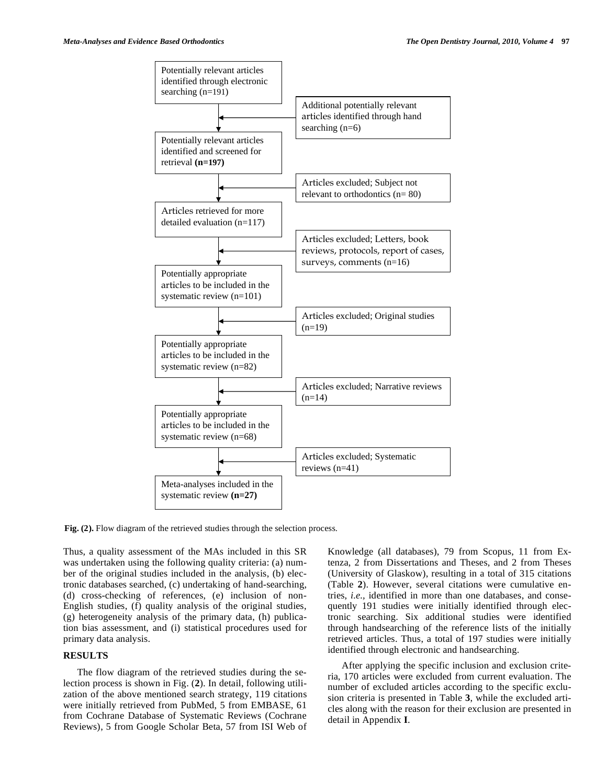

Fig. (2). Flow diagram of the retrieved studies through the selection process.

Thus, a quality assessment of the MAs included in this SR was undertaken using the following quality criteria: (a) number of the original studies included in the analysis, (b) electronic databases searched, (c) undertaking of hand-searching, (d) cross-checking of references, (e) inclusion of non-English studies, (f) quality analysis of the original studies, (g) heterogeneity analysis of the primary data, (h) publication bias assessment, and (i) statistical procedures used for primary data analysis.

# **RESULTS**

The flow diagram of the retrieved studies during the selection process is shown in Fig. (**2**). In detail, following utilization of the above mentioned search strategy, 119 citations were initially retrieved from PubMed, 5 from EMBASE, 61 from Cochrane Database of Systematic Reviews (Cochrane Reviews), 5 from Google Scholar Beta, 57 from ISI Web of Knowledge (all databases), 79 from Scopus, 11 from Extenza, 2 from Dissertations and Theses, and 2 from Theses (University of Glaskow), resulting in a total of 315 citations (Table **2**). However, several citations were cumulative entries, *i.e.,* identified in more than one databases, and consequently 191 studies were initially identified through electronic searching. Six additional studies were identified through handsearching of the reference lists of the initially retrieved articles. Thus, a total of 197 studies were initially identified through electronic and handsearching.

After applying the specific inclusion and exclusion criteria, 170 articles were excluded from current evaluation. The number of excluded articles according to the specific exclusion criteria is presented in Table **3**, while the excluded articles along with the reason for their exclusion are presented in detail in Appendix **I**.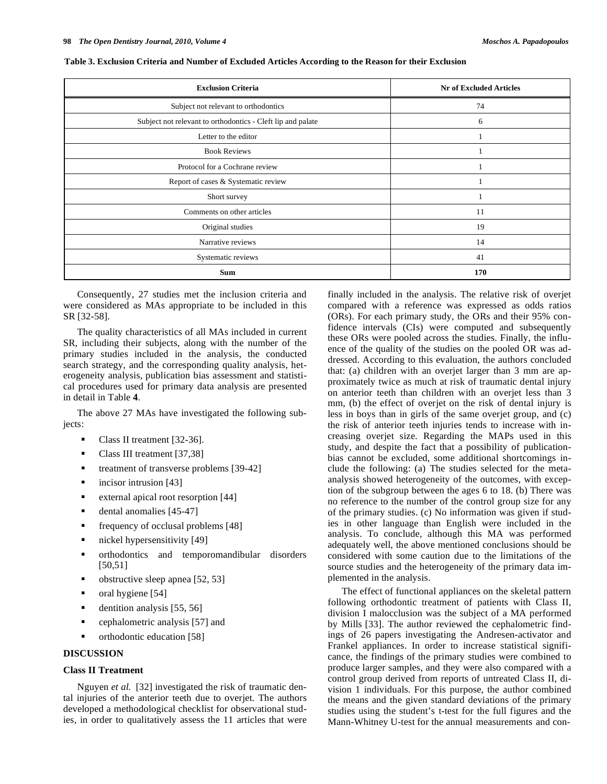| <b>Exclusion Criteria</b>                                   | <b>Nr of Excluded Articles</b> |
|-------------------------------------------------------------|--------------------------------|
| Subject not relevant to orthodontics                        | 74                             |
| Subject not relevant to orthodontics - Cleft lip and palate | 6                              |
| Letter to the editor                                        | ш                              |
| <b>Book Reviews</b>                                         |                                |
| Protocol for a Cochrane review                              |                                |
| Report of cases & Systematic review                         |                                |
| Short survey                                                |                                |
| Comments on other articles                                  | 11                             |
| Original studies                                            | 19                             |
| Narrative reviews                                           | 14                             |
| Systematic reviews                                          | 41                             |
| <b>Sum</b>                                                  | 170                            |

**Table 3. Exclusion Criteria and Number of Excluded Articles According to the Reason for their Exclusion**

Consequently, 27 studies met the inclusion criteria and were considered as MAs appropriate to be included in this SR [32-58].

The quality characteristics of all MAs included in current SR, including their subjects, along with the number of the primary studies included in the analysis, the conducted search strategy, and the corresponding quality analysis, heterogeneity analysis, publication bias assessment and statistical procedures used for primary data analysis are presented in detail in Table **4**.

The above 27 MAs have investigated the following subjects:

- Class II treatment [32-36].
- Class III treatment [37,38]
- treatment of transverse problems [39-42]
- $\blacksquare$  incisor intrusion [43]
- external apical root resorption [44]
- **dental anomalies** [45-47]
- **frequency of occlusal problems** [48]
- nickel hypersensitivity [49]
- orthodontics and temporomandibular disorders [50,51]
- obstructive sleep apnea [52, 53]
- oral hygiene [54]
- dentition analysis  $[55, 56]$
- cephalometric analysis [57] and
- orthodontic education [58]

### **DISCUSSION**

# **Class II Treatment**

Nguyen *et al.* [32] investigated the risk of traumatic dental injuries of the anterior teeth due to overjet. The authors developed a methodological checklist for observational studies, in order to qualitatively assess the 11 articles that were finally included in the analysis. The relative risk of overjet compared with a reference was expressed as odds ratios (ORs). For each primary study, the ORs and their 95% confidence intervals (CIs) were computed and subsequently these ORs were pooled across the studies. Finally, the influence of the quality of the studies on the pooled OR was addressed. According to this evaluation, the authors concluded that: (a) children with an overjet larger than 3 mm are approximately twice as much at risk of traumatic dental injury on anterior teeth than children with an overjet less than 3 mm, (b) the effect of overjet on the risk of dental injury is less in boys than in girls of the same overjet group, and (c) the risk of anterior teeth injuries tends to increase with increasing overjet size. Regarding the MAPs used in this study, and despite the fact that a possibility of publicationbias cannot be excluded, some additional shortcomings include the following: (a) The studies selected for the metaanalysis showed heterogeneity of the outcomes, with exception of the subgroup between the ages 6 to 18. (b) There was no reference to the number of the control group size for any of the primary studies. (c) No information was given if studies in other language than English were included in the analysis. To conclude, although this MA was performed adequately well, the above mentioned conclusions should be considered with some caution due to the limitations of the source studies and the heterogeneity of the primary data implemented in the analysis.

The effect of functional appliances on the skeletal pattern following orthodontic treatment of patients with Class II, division I malocclusion was the subject of a MA performed by Mills [33]. The author reviewed the cephalometric findings of 26 papers investigating the Andresen-activator and Frankel appliances. In order to increase statistical significance, the findings of the primary studies were combined to produce larger samples, and they were also compared with a control group derived from reports of untreated Class II, division 1 individuals. For this purpose, the author combined the means and the given standard deviations of the primary studies using the student's t-test for the full figures and the Mann-Whitney U-test for the annual measurements and con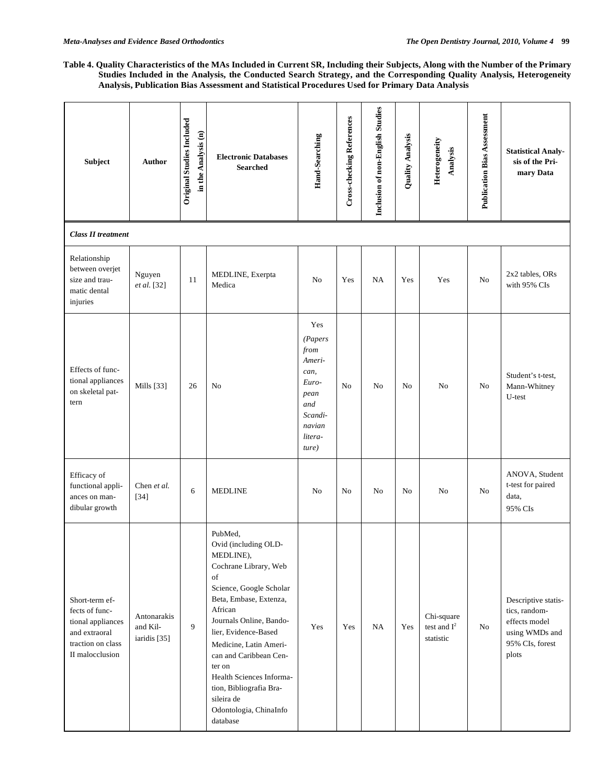**Table 4. Quality Characteristics of the MAs Included in Current SR, Including their Subjects, Along with the Number of the Primary Studies Included in the Analysis, the Conducted Search Strategy, and the Corresponding Quality Analysis, Heterogeneity Analysis, Publication Bias Assessment and Statistical Procedures Used for Primary Data Analysis** 

| <b>Subject</b>                                                                                                 | <b>Author</b>                           | <b>Original Studies Included</b><br>in the Analysis (n) | <b>Electronic Databases</b><br><b>Searched</b>                                                                                                                                                                                                                                                                                                                          | Hand-Searching                                                                                             | <b>Cross-checking References</b> | Inclusion of non-English Studies | <b>Quality Analysis</b> | Heterogeneity<br>Analysis                 | <b>Publication Bias Assessment</b> | <b>Statistical Analy-</b><br>sis of the Pri-<br>mary Data                                           |
|----------------------------------------------------------------------------------------------------------------|-----------------------------------------|---------------------------------------------------------|-------------------------------------------------------------------------------------------------------------------------------------------------------------------------------------------------------------------------------------------------------------------------------------------------------------------------------------------------------------------------|------------------------------------------------------------------------------------------------------------|----------------------------------|----------------------------------|-------------------------|-------------------------------------------|------------------------------------|-----------------------------------------------------------------------------------------------------|
| <b>Class II treatment</b>                                                                                      |                                         |                                                         |                                                                                                                                                                                                                                                                                                                                                                         |                                                                                                            |                                  |                                  |                         |                                           |                                    |                                                                                                     |
| Relationship<br>between overjet<br>size and trau-<br>matic dental<br>injuries                                  | Nguyen<br>et al. [32]                   | 11                                                      | MEDLINE, Exerpta<br>Medica                                                                                                                                                                                                                                                                                                                                              | No                                                                                                         | Yes                              | NA                               | Yes                     | Yes                                       | No                                 | 2x2 tables, ORs<br>with 95% CIs                                                                     |
| Effects of func-<br>tional appliances<br>on skeletal pat-<br>tern                                              | Mills [33]                              | 26                                                      | No                                                                                                                                                                                                                                                                                                                                                                      | Yes<br>(Papers)<br>from<br>Ameri-<br>can,<br>Euro-<br>pean<br>and<br>Scandi-<br>navian<br>litera-<br>ture) | N <sub>o</sub>                   | No                               | No                      | No                                        | No                                 | Student's t-test,<br>Mann-Whitney<br>U-test                                                         |
| Efficacy of<br>functional appli-<br>ances on man-<br>dibular growth                                            | Chen et al.<br>$[34]$                   | 6                                                       | <b>MEDLINE</b>                                                                                                                                                                                                                                                                                                                                                          | N <sub>0</sub>                                                                                             | N <sub>0</sub>                   | No                               | N <sub>0</sub>          | N <sub>0</sub>                            | N <sub>0</sub>                     | ANOVA, Student<br>t-test for paired<br>data,<br>95% CIs                                             |
| Short-term ef-<br>fects of func-<br>tional appliances<br>and extraoral<br>traction on class<br>II malocclusion | Antonarakis<br>and Kil-<br>iaridis [35] | 9                                                       | PubMed,<br>Ovid (including OLD-<br>MEDLINE),<br>Cochrane Library, Web<br>of<br>Science, Google Scholar<br>Beta, Embase, Extenza,<br>African<br>Journals Online, Bando-<br>lier, Evidence-Based<br>Medicine, Latin Ameri-<br>can and Caribbean Cen-<br>ter on<br>Health Sciences Informa-<br>tion, Bibliografia Bra-<br>sileira de<br>Odontologia, ChinaInfo<br>database | Yes                                                                                                        | Yes                              | NA                               | Yes                     | Chi-square<br>test and $I^2$<br>statistic | No                                 | Descriptive statis-<br>tics, random-<br>effects model<br>using WMDs and<br>95% CIs, forest<br>plots |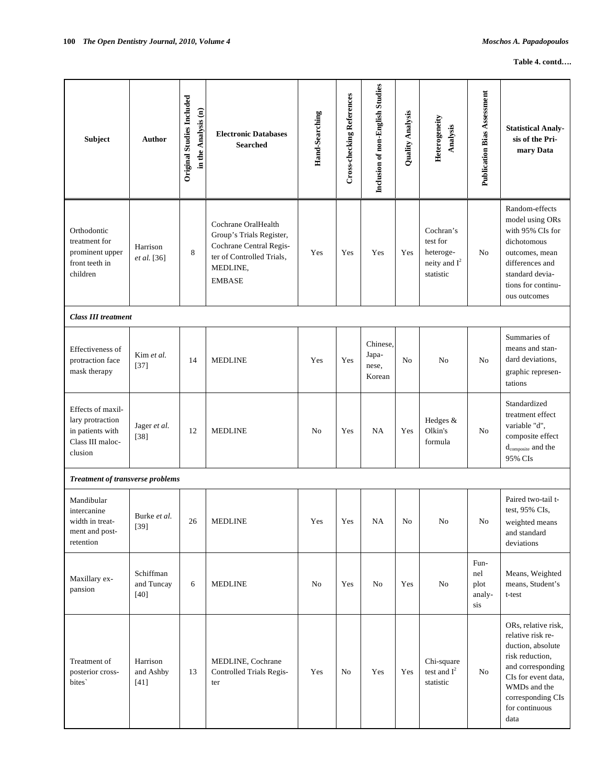| <b>Subject</b>                                                                           | Author                            | <b>Original Studies Included</b><br>in the Analysis (n) | <b>Electronic Databases</b><br><b>Searched</b>                                                                                       | Hand-Searching | <b>Cross-checking References</b> | Inclusion of non-English Studies     | <b>Quality Analysis</b> | Heterogeneity<br>Analysis                                                   | <b>Publication Bias Assessment</b>   | <b>Statistical Analy-</b><br>sis of the Pri-<br>mary Data                                                                                                                                   |
|------------------------------------------------------------------------------------------|-----------------------------------|---------------------------------------------------------|--------------------------------------------------------------------------------------------------------------------------------------|----------------|----------------------------------|--------------------------------------|-------------------------|-----------------------------------------------------------------------------|--------------------------------------|---------------------------------------------------------------------------------------------------------------------------------------------------------------------------------------------|
| Orthodontic<br>treatment for<br>prominent upper<br>front teeth in<br>children            | Harrison<br><i>et al.</i> [36]    | 8                                                       | Cochrane OralHealth<br>Group's Trials Register,<br>Cochrane Central Regis-<br>ter of Controlled Trials,<br>MEDLINE,<br><b>EMBASE</b> | Yes            | Yes                              | Yes                                  | Yes                     | Cochran's<br>test for<br>heteroge-<br>neity and I <sup>2</sup><br>statistic | No                                   | Random-effects<br>model using ORs<br>with 95% CIs for<br>dichotomous<br>outcomes, mean<br>differences and<br>standard devia-<br>tions for continu-<br>ous outcomes                          |
| <b>Class III treatment</b>                                                               |                                   |                                                         |                                                                                                                                      |                |                                  |                                      |                         |                                                                             |                                      |                                                                                                                                                                                             |
| Effectiveness of<br>protraction face<br>mask therapy                                     | Kim et al.<br>$[37]$              | 14                                                      | <b>MEDLINE</b>                                                                                                                       | Yes            | Yes                              | Chinese,<br>Japa-<br>nese,<br>Korean | No                      | No                                                                          | N <sub>0</sub>                       | Summaries of<br>means and stan-<br>dard deviations,<br>graphic represen-<br>tations                                                                                                         |
| Effects of maxil-<br>lary protraction<br>in patients with<br>Class III maloc-<br>clusion | Jager et al.<br>$[38]$            | 12                                                      | <b>MEDLINE</b>                                                                                                                       | No             | Yes                              | NA                                   | Yes                     | Hedges &<br>Olkin's<br>formula                                              | No                                   | Standardized<br>treatment effect<br>variable "d",<br>composite effect<br>$d_{\text{composite}}$ and the<br>95% CIs                                                                          |
| Treatment of transverse problems                                                         |                                   |                                                         |                                                                                                                                      |                |                                  |                                      |                         |                                                                             |                                      |                                                                                                                                                                                             |
| Mandibular<br>intercanine<br>width in treat-<br>ment and post-<br>retention              | Burke et al.<br>$[39]$            | $26\,$                                                  | <b>MEDLINE</b>                                                                                                                       | <b>Yes</b>     | Yes                              | NA                                   | N <sub>0</sub>          | N <sub>0</sub>                                                              | No                                   | Paired two-tail t-<br>test, 95% CIs,<br>weighted means<br>and standard<br>deviations                                                                                                        |
| Maxillary ex-<br>pansion                                                                 | Schiffman<br>and Tuncay<br>$[40]$ | 6                                                       | <b>MEDLINE</b>                                                                                                                       | No             | Yes                              | No                                   | Yes                     | No                                                                          | Fun-<br>nel<br>plot<br>analy-<br>sis | Means, Weighted<br>means, Student's<br>t-test                                                                                                                                               |
| Treatment of<br>posterior cross-<br>bites`                                               | Harrison<br>and Ashby<br>$[41]$   | 13                                                      | MEDLINE, Cochrane<br>Controlled Trials Regis-<br>ter                                                                                 | Yes            | No                               | Yes                                  | Yes                     | Chi-square<br>test and $I^2$<br>statistic                                   | No                                   | ORs, relative risk,<br>relative risk re-<br>duction, absolute<br>risk reduction,<br>and corresponding<br>CIs for event data,<br>WMDs and the<br>corresponding CIs<br>for continuous<br>data |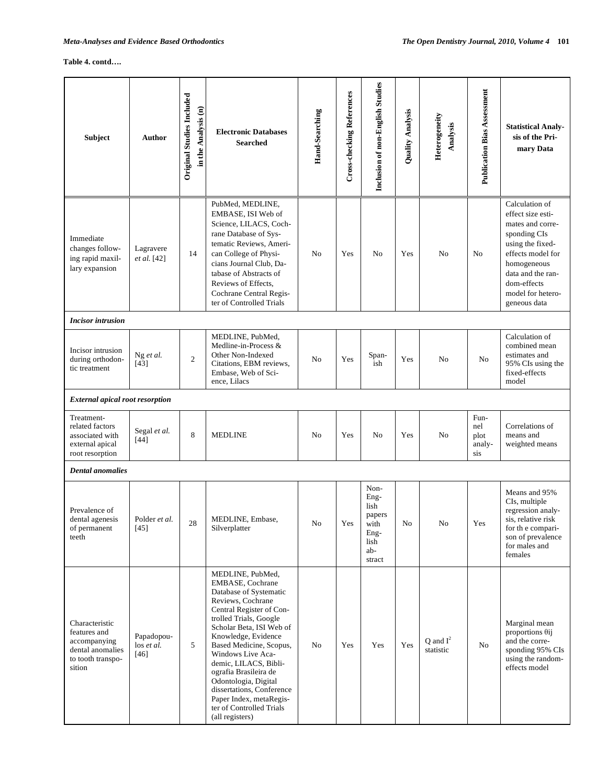| <b>Subject</b>                                                                                    | Author                           | <b>Original Studies Included</b><br>in the Analysis (n) | <b>Electronic Databases</b><br><b>Searched</b>                                                                                                                                                                                                                                                                                                                                                                                | Hand-Searching | Cross-checking References | Inclusion of non-English Studies                                        | Quality Analysis | Heterogeneity<br>Analysis | <b>Publication Bias Assessment</b>   | <b>Statistical Analy-</b><br>sis of the Pri-<br>mary Data                                                                                                                                                |
|---------------------------------------------------------------------------------------------------|----------------------------------|---------------------------------------------------------|-------------------------------------------------------------------------------------------------------------------------------------------------------------------------------------------------------------------------------------------------------------------------------------------------------------------------------------------------------------------------------------------------------------------------------|----------------|---------------------------|-------------------------------------------------------------------------|------------------|---------------------------|--------------------------------------|----------------------------------------------------------------------------------------------------------------------------------------------------------------------------------------------------------|
| Immediate<br>changes follow-<br>ing rapid maxil-<br>lary expansion                                | Lagravere<br>et al. [42]         | 14                                                      | PubMed, MEDLINE,<br>EMBASE, ISI Web of<br>Science, LILACS, Coch-<br>rane Database of Sys-<br>tematic Reviews, Ameri-<br>can College of Physi-<br>cians Journal Club, Da-<br>tabase of Abstracts of<br>Reviews of Effects,<br>Cochrane Central Regis-<br>ter of Controlled Trials                                                                                                                                              | No             | Yes                       | No                                                                      | Yes              | No                        | No                                   | Calculation of<br>effect size esti-<br>mates and corre-<br>sponding CIs<br>using the fixed-<br>effects model for<br>homogeneous<br>data and the ran-<br>dom-effects<br>model for hetero-<br>geneous data |
| <b>Incisor</b> intrusion                                                                          |                                  |                                                         |                                                                                                                                                                                                                                                                                                                                                                                                                               |                |                           |                                                                         |                  |                           |                                      |                                                                                                                                                                                                          |
| Incisor intrusion<br>during orthodon-<br>tic treatment                                            | Ng et al.<br>[43]                | $\overline{c}$                                          | MEDLINE, PubMed,<br>Medline-in-Process $&$<br>Other Non-Indexed<br>Citations, EBM reviews,<br>Embase, Web of Sci-<br>ence, Lilacs                                                                                                                                                                                                                                                                                             | No             | Yes                       | Span-<br>ish                                                            | Yes              | No                        | No                                   | Calculation of<br>combined mean<br>estimates and<br>95% CIs using the<br>fixed-effects<br>model                                                                                                          |
| <b>External apical root resorption</b>                                                            |                                  |                                                         |                                                                                                                                                                                                                                                                                                                                                                                                                               |                |                           |                                                                         |                  |                           |                                      |                                                                                                                                                                                                          |
| Treatment-<br>related factors<br>associated with<br>external apical<br>root resorption            | Segal et al.<br>$[44]$           | 8                                                       | <b>MEDLINE</b>                                                                                                                                                                                                                                                                                                                                                                                                                | N <sub>0</sub> | Yes                       | No                                                                      | Yes              | No                        | Fun-<br>nel<br>plot<br>analy-<br>sis | Correlations of<br>means and<br>weighted means                                                                                                                                                           |
| <b>Dental anomalies</b>                                                                           |                                  |                                                         |                                                                                                                                                                                                                                                                                                                                                                                                                               |                |                           |                                                                         |                  |                           |                                      |                                                                                                                                                                                                          |
| Prevalence of<br>dental agenesis<br>of permanent<br>teeth                                         | Polder et al.<br>$[45]$          | 28                                                      | MEDLINE, Embase,<br>Silverplatter                                                                                                                                                                                                                                                                                                                                                                                             | No             | Yes                       | Non-<br>Eng-<br>lish<br>papers<br>with<br>Eng-<br>lish<br>ab-<br>stract | No               | No                        | Yes                                  | Means and 95%<br>CIs, multiple<br>regression analy-<br>sis, relative risk<br>for the compari-<br>son of prevalence<br>for males and<br>females                                                           |
| Characteristic<br>features and<br>accompanying<br>dental anomalies<br>to tooth transpo-<br>sition | Papadopou-<br>los et al.<br>[46] | 5                                                       | MEDLINE, PubMed,<br>EMBASE, Cochrane<br>Database of Systematic<br>Reviews, Cochrane<br>Central Register of Con-<br>trolled Trials, Google<br>Scholar Beta, ISI Web of<br>Knowledge, Evidence<br>Based Medicine, Scopus,<br>Windows Live Aca-<br>demic, LILACS, Bibli-<br>ografia Brasileira de<br>Odontologia, Digital<br>dissertations, Conference<br>Paper Index, metaRegis-<br>ter of Controlled Trials<br>(all registers) | No             | Yes                       | Yes                                                                     | Yes              | Q and $I^2$<br>statistic  | No                                   | Marginal mean<br>proportions $\theta$ ij<br>and the corre-<br>sponding 95% CIs<br>using the random-<br>effects model                                                                                     |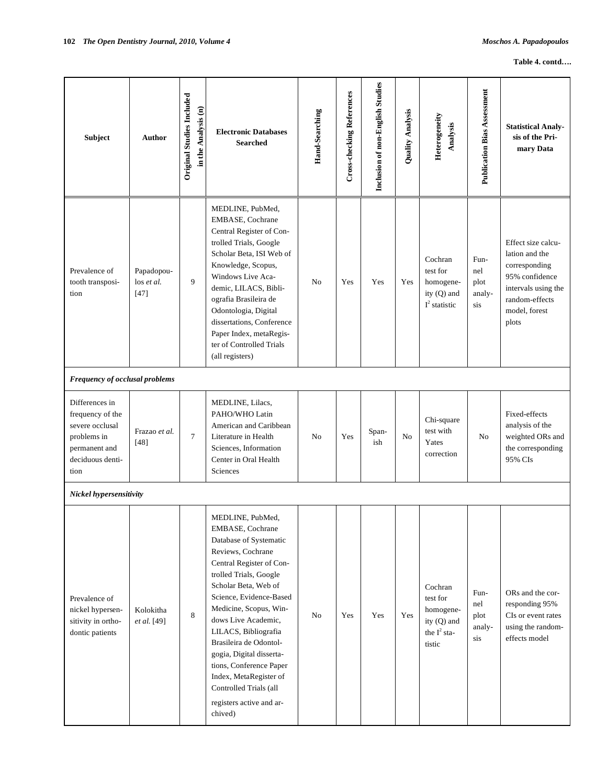| Subject                                                                                                           | <b>Author</b>                      | <b>Original Studies Included</b><br>in the Analysis (n) | <b>Electronic Databases</b><br><b>Searched</b>                                                                                                                                                                                                                                                                                                                                                                                                    | Hand-Searching | <b>Cross-checking References</b> | <b>Inclusion of non-English Studies</b> | Quality Analysis | Heterogeneity<br>Analysis                                                   | <b>Publication Bias Assessment</b>   | <b>Statistical Analy-</b><br>sis of the Pri-<br>mary Data                                                                                  |
|-------------------------------------------------------------------------------------------------------------------|------------------------------------|---------------------------------------------------------|---------------------------------------------------------------------------------------------------------------------------------------------------------------------------------------------------------------------------------------------------------------------------------------------------------------------------------------------------------------------------------------------------------------------------------------------------|----------------|----------------------------------|-----------------------------------------|------------------|-----------------------------------------------------------------------------|--------------------------------------|--------------------------------------------------------------------------------------------------------------------------------------------|
| Prevalence of<br>tooth transposi-<br>tion                                                                         | Papadopou-<br>los et al.<br>$[47]$ | 9                                                       | MEDLINE, PubMed,<br>EMBASE, Cochrane<br>Central Register of Con-<br>trolled Trials, Google<br>Scholar Beta, ISI Web of<br>Knowledge, Scopus,<br>Windows Live Aca-<br>demic, LILACS, Bibli-<br>ografia Brasileira de<br>Odontologia, Digital<br>dissertations, Conference<br>Paper Index, metaRegis-<br>ter of Controlled Trials<br>(all registers)                                                                                                | N <sub>o</sub> | Yes                              | Yes                                     | Yes              | Cochran<br>test for<br>homogene-<br>ity (Q) and<br>$I^2$ statistic          | Fun-<br>nel<br>plot<br>analy-<br>sis | Effect size calcu-<br>lation and the<br>corresponding<br>95% confidence<br>intervals using the<br>random-effects<br>model, forest<br>plots |
| Frequency of occlusal problems                                                                                    |                                    |                                                         |                                                                                                                                                                                                                                                                                                                                                                                                                                                   |                |                                  |                                         |                  |                                                                             |                                      |                                                                                                                                            |
| Differences in<br>frequency of the<br>severe occlusal<br>problems in<br>permanent and<br>deciduous denti-<br>tion | Frazao et al.<br>$[48]$            | $\tau$                                                  | MEDLINE, Lilacs,<br>PAHO/WHO Latin<br>American and Caribbean<br>Literature in Health<br>Sciences, Information<br>Center in Oral Health<br>Sciences                                                                                                                                                                                                                                                                                                | N <sub>0</sub> | Yes                              | Span-<br>ish                            | No               | Chi-square<br>test with<br>Yates<br>correction                              | N <sub>0</sub>                       | Fixed-effects<br>analysis of the<br>weighted ORs and<br>the corresponding<br>95% CIs                                                       |
| Nickel hypersensitivity                                                                                           |                                    |                                                         |                                                                                                                                                                                                                                                                                                                                                                                                                                                   |                |                                  |                                         |                  |                                                                             |                                      |                                                                                                                                            |
| Prevalence of<br>nickel hypersen-<br>sitivity in ortho-<br>dontic patients                                        | Kolokitha<br>et al. [49]           | 8                                                       | MEDLINE, PubMed,<br>EMBASE, Cochrane<br>Database of Systematic<br>Reviews, Cochrane<br>Central Register of Con-<br>trolled Trials, Google<br>Scholar Beta, Web of<br>Science, Evidence-Based<br>Medicine, Scopus, Win-<br>dows Live Academic,<br>LILACS, Bibliografia<br>Brasileira de Odontol-<br>gogia, Digital disserta-<br>tions, Conference Paper<br>Index, MetaRegister of<br>Controlled Trials (all<br>registers active and ar-<br>chived) | No             | Yes                              | Yes                                     | Yes              | Cochran<br>test for<br>homogene-<br>ity (Q) and<br>the $I^2$ sta-<br>tistic | Fun-<br>nel<br>plot<br>analy-<br>sis | ORs and the cor-<br>responding 95%<br>CIs or event rates<br>using the random-<br>effects model                                             |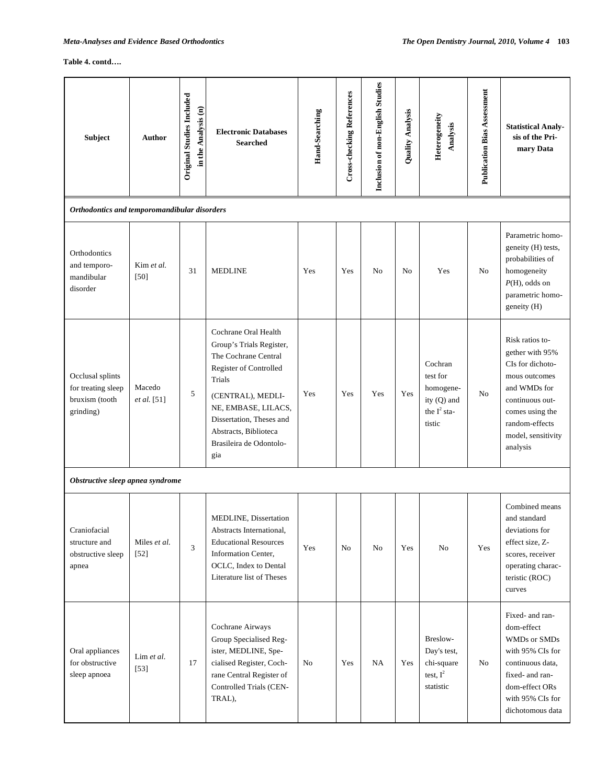| <b>Subject</b>                                                        | Author                 | Original Studies Included<br>in the Analysis (n) | <b>Electronic Databases</b><br><b>Searched</b>                                                                                                                                                                                                  | Hand-Searching | <b>Cross-checking References</b> | Inclusion of non-English Studies | Quality Analysis | Heterogeneity<br>Analysis                                                   | <b>Publication Bias Assessment</b> | <b>Statistical Analy-</b><br>sis of the Pri-<br>mary Data                                                                                                                         |  |
|-----------------------------------------------------------------------|------------------------|--------------------------------------------------|-------------------------------------------------------------------------------------------------------------------------------------------------------------------------------------------------------------------------------------------------|----------------|----------------------------------|----------------------------------|------------------|-----------------------------------------------------------------------------|------------------------------------|-----------------------------------------------------------------------------------------------------------------------------------------------------------------------------------|--|
| Orthodontics and temporomandibular disorders                          |                        |                                                  |                                                                                                                                                                                                                                                 |                |                                  |                                  |                  |                                                                             |                                    |                                                                                                                                                                                   |  |
| Orthodontics<br>and temporo-<br>mandibular<br>disorder                | Kim et al.<br>[50]     | 31                                               | <b>MEDLINE</b>                                                                                                                                                                                                                                  | Yes            | Yes                              | No                               | No               | Yes                                                                         | N <sub>0</sub>                     | Parametric homo-<br>geneity (H) tests,<br>probabilities of<br>homogeneity<br>$P(H)$ , odds on<br>parametric homo-<br>geneity (H)                                                  |  |
| Occlusal splints<br>for treating sleep<br>bruxism (tooth<br>grinding) | Macedo<br>et al. [51]  | 5                                                | Cochrane Oral Health<br>Group's Trials Register,<br>The Cochrane Central<br>Register of Controlled<br>Trials<br>(CENTRAL), MEDLI-<br>NE, EMBASE, LILACS,<br>Dissertation, Theses and<br>Abstracts, Biblioteca<br>Brasileira de Odontolo-<br>gia | Yes            | Yes                              | Yes                              | Yes              | Cochran<br>test for<br>homogene-<br>ity (Q) and<br>the $I^2$ sta-<br>tistic | N <sub>0</sub>                     | Risk ratios to-<br>gether with 95%<br>CIs for dichoto-<br>mous outcomes<br>and WMDs for<br>continuous out-<br>comes using the<br>random-effects<br>model, sensitivity<br>analysis |  |
| Obstructive sleep apnea syndrome                                      |                        |                                                  |                                                                                                                                                                                                                                                 |                |                                  |                                  |                  |                                                                             |                                    |                                                                                                                                                                                   |  |
| Craniofacial<br>structure and<br>obstructive sleep<br>apnea           | Miles et al.<br>$[52]$ | 3                                                | <b>MEDLINE, Dissertation</b><br>Abstracts International,<br><b>Educational Resources</b><br>Information Center,<br>OCLC, Index to Dental<br>Literature list of Theses                                                                           | Yes            | No                               | No                               | Yes              | No                                                                          | Yes                                | Combined means<br>and standard<br>deviations for<br>effect size, Z-<br>scores, receiver<br>operating charac-<br>teristic (ROC)<br>curves                                          |  |
| Oral appliances<br>for obstructive<br>sleep apnoea                    | Lim et al.<br>$[53]$   | 17                                               | Cochrane Airways<br>Group Specialised Reg-<br>ister, MEDLINE, Spe-<br>cialised Register, Coch-<br>rane Central Register of<br>Controlled Trials (CEN-<br>TRAL),                                                                                 | No             | Yes                              | NA                               | Yes              | Breslow-<br>Day's test,<br>chi-square<br>test, $I^2$<br>statistic           | No                                 | Fixed- and ran-<br>dom-effect<br>WMDs or SMDs<br>with 95% CIs for<br>continuous data,<br>fixed- and ran-<br>dom-effect ORs<br>with 95% CIs for<br>dichotomous data                |  |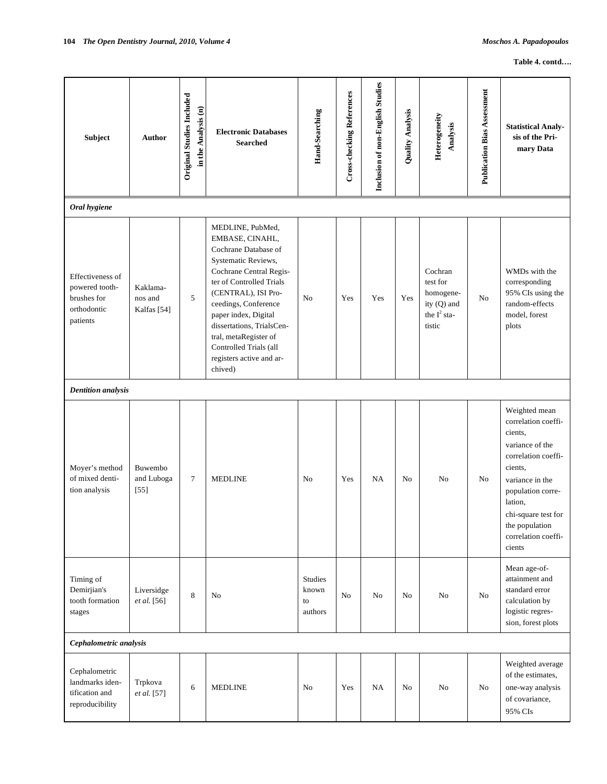| Subject                                                                      | <b>Author</b>                                 | Original Studies Included<br>in the Analysis (n) | <b>Electronic Databases</b><br><b>Searched</b>                                                                                                                                                                                                                                                                                          | Hand-Searching                           | <b>Cross-checking References</b> | Inclusion of non-English Studies | <b>Quality Analysis</b> | Heterogeneity<br>Analysis                                                   | <b>Publication Bias Assessment</b> | <b>Statistical Analy-</b><br>sis of the Pri-<br>mary Data                                                                                                                                                                         |
|------------------------------------------------------------------------------|-----------------------------------------------|--------------------------------------------------|-----------------------------------------------------------------------------------------------------------------------------------------------------------------------------------------------------------------------------------------------------------------------------------------------------------------------------------------|------------------------------------------|----------------------------------|----------------------------------|-------------------------|-----------------------------------------------------------------------------|------------------------------------|-----------------------------------------------------------------------------------------------------------------------------------------------------------------------------------------------------------------------------------|
| Oral hygiene                                                                 |                                               |                                                  |                                                                                                                                                                                                                                                                                                                                         |                                          |                                  |                                  |                         |                                                                             |                                    |                                                                                                                                                                                                                                   |
| Effectiveness of<br>powered tooth-<br>brushes for<br>orthodontic<br>patients | Kaklama-<br>nos and<br>Kalfas <sup>[54]</sup> | 5                                                | MEDLINE, PubMed,<br>EMBASE, CINAHL,<br>Cochrane Database of<br>Systematic Reviews,<br>Cochrane Central Regis-<br>ter of Controlled Trials<br>(CENTRAL), ISI Pro-<br>ceedings, Conference<br>paper index, Digital<br>dissertations, TrialsCen-<br>tral, metaRegister of<br>Controlled Trials (all<br>registers active and ar-<br>chived) | No                                       | Yes                              | Yes                              | Yes                     | Cochran<br>test for<br>homogene-<br>ity (Q) and<br>the $I^2$ sta-<br>tistic | No                                 | WMDs with the<br>corresponding<br>95% CIs using the<br>random-effects<br>model, forest<br>plots                                                                                                                                   |
| <b>Dentition</b> analysis                                                    |                                               |                                                  |                                                                                                                                                                                                                                                                                                                                         |                                          |                                  |                                  |                         |                                                                             |                                    |                                                                                                                                                                                                                                   |
| Moyer's method<br>of mixed denti-<br>tion analysis                           | Buwembo<br>and Luboga<br>$[55]$               | $\overline{7}$                                   | <b>MEDLINE</b>                                                                                                                                                                                                                                                                                                                          | N <sub>0</sub>                           | Yes                              | NA                               | N <sub>0</sub>          | No                                                                          | No                                 | Weighted mean<br>correlation coeffi-<br>cients.<br>variance of the<br>correlation coeffi-<br>cients,<br>variance in the<br>population corre-<br>lation,<br>chi-square test for<br>the population<br>correlation coeffi-<br>cients |
| Timing of<br>Demirjian's<br>tooth formation<br>stages                        | Liversidge<br>et al. [56]                     | 8                                                | No                                                                                                                                                                                                                                                                                                                                      | <b>Studies</b><br>known<br>to<br>authors | No                               | No                               | No                      | No                                                                          | $\rm No$                           | Mean age-of-<br>attainment and<br>standard error<br>calculation by<br>logistic regres-<br>sion, forest plots                                                                                                                      |
| Cephalometric analysis                                                       |                                               |                                                  |                                                                                                                                                                                                                                                                                                                                         |                                          |                                  |                                  |                         |                                                                             |                                    |                                                                                                                                                                                                                                   |
| Cephalometric<br>landmarks iden-<br>tification and<br>reproducibility        | Trpkova<br>et al. [57]                        | 6                                                | <b>MEDLINE</b>                                                                                                                                                                                                                                                                                                                          | No                                       | Yes                              | NA                               | No                      | No                                                                          | No                                 | Weighted average<br>of the estimates,<br>one-way analysis<br>of covariance,<br>95% CIs                                                                                                                                            |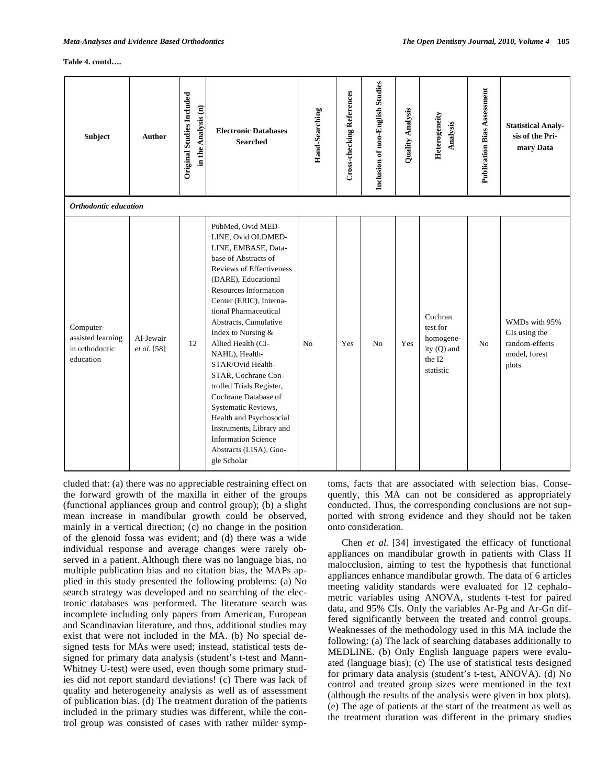| Subject<br>Orthodontic education                              | <b>Author</b>            | Original Studies Included<br>in the Analysis (n) | <b>Electronic Databases</b><br><b>Searched</b>                                                                                                                                                                                                                                                                                                                                                                                                                                                                                 | Hand-Searching | <b>Cross-checking References</b> | Inclusion of non-English Studies | <b>Quality Analysis</b> | Heterogeneity<br>Analysis                                              | <b>Publication Bias Assessment</b> | <b>Statistical Analy-</b><br>sis of the Pri-<br>mary Data                  |
|---------------------------------------------------------------|--------------------------|--------------------------------------------------|--------------------------------------------------------------------------------------------------------------------------------------------------------------------------------------------------------------------------------------------------------------------------------------------------------------------------------------------------------------------------------------------------------------------------------------------------------------------------------------------------------------------------------|----------------|----------------------------------|----------------------------------|-------------------------|------------------------------------------------------------------------|------------------------------------|----------------------------------------------------------------------------|
|                                                               |                          |                                                  | PubMed, Ovid MED-<br>LINE, Ovid OLDMED-                                                                                                                                                                                                                                                                                                                                                                                                                                                                                        |                |                                  |                                  |                         |                                                                        |                                    |                                                                            |
| Computer-<br>assisted learning<br>in orthodontic<br>education | Al-Jewair<br>et al. [58] | 12                                               | LINE, EMBASE, Data-<br>base of Abstracts of<br>Reviews of Effectiveness<br>(DARE), Educational<br><b>Resources Information</b><br>Center (ERIC), Interna-<br>tional Pharmaceutical<br>Abstracts, Cumulative<br>Index to Nursing &<br>Allied Health (CI-<br>NAHL), Health-<br>STAR/Ovid Health-<br>STAR, Cochrane Con-<br>trolled Trials Register,<br>Cochrane Database of<br>Systematic Reviews,<br>Health and Psychosocial<br>Instruments, Library and<br><b>Information Science</b><br>Abstracts (LISA), Goo-<br>gle Scholar | N <sub>0</sub> | Yes                              | N <sub>0</sub>                   | Yes                     | Cochran<br>test for<br>homogene-<br>ity (Q) and<br>the I2<br>statistic | N <sub>o</sub>                     | WMDs with 95%<br>CIs using the<br>random-effects<br>model, forest<br>plots |

cluded that: (a) there was no appreciable restraining effect on the forward growth of the maxilla in either of the groups (functional appliances group and control group); (b) a slight mean increase in mandibular growth could be observed, mainly in a vertical direction; (c) no change in the position of the glenoid fossa was evident; and (d) there was a wide individual response and average changes were rarely observed in a patient. Although there was no language bias, no multiple publication bias and no citation bias, the MAPs applied in this study presented the following problems: (a) No search strategy was developed and no searching of the electronic databases was performed. The literature search was incomplete including only papers from American, European and Scandinavian literature, and thus, additional studies may exist that were not included in the MA. (b) No special designed tests for MAs were used; instead, statistical tests designed for primary data analysis (student's t-test and Mann-Whitney U-test) were used, even though some primary studies did not report standard deviations! (c) There was lack of quality and heterogeneity analysis as well as of assessment of publication bias. (d) The treatment duration of the patients included in the primary studies was different, while the control group was consisted of cases with rather milder symptoms, facts that are associated with selection bias. Consequently, this MA can not be considered as appropriately conducted. Thus, the corresponding conclusions are not supported with strong evidence and they should not be taken onto consideration.

Chen *et al.* [34] investigated the efficacy of functional appliances on mandibular growth in patients with Class II malocclusion, aiming to test the hypothesis that functional appliances enhance mandibular growth. The data of 6 articles meeting validity standards were evaluated for 12 cephalometric variables using ANOVA, students t-test for paired data, and 95% CIs. Only the variables Ar-Pg and Ar-Gn differed significantly between the treated and control groups. Weaknesses of the methodology used in this MA include the following: (a) The lack of searching databases additionally to MEDLINE. (b) Only English language papers were evaluated (language bias); (c) The use of statistical tests designed for primary data analysis (student's t-test, ANOVA). (d) No control and treated group sizes were mentioned in the text (although the results of the analysis were given in box plots). (e) The age of patients at the start of the treatment as well as the treatment duration was different in the primary studies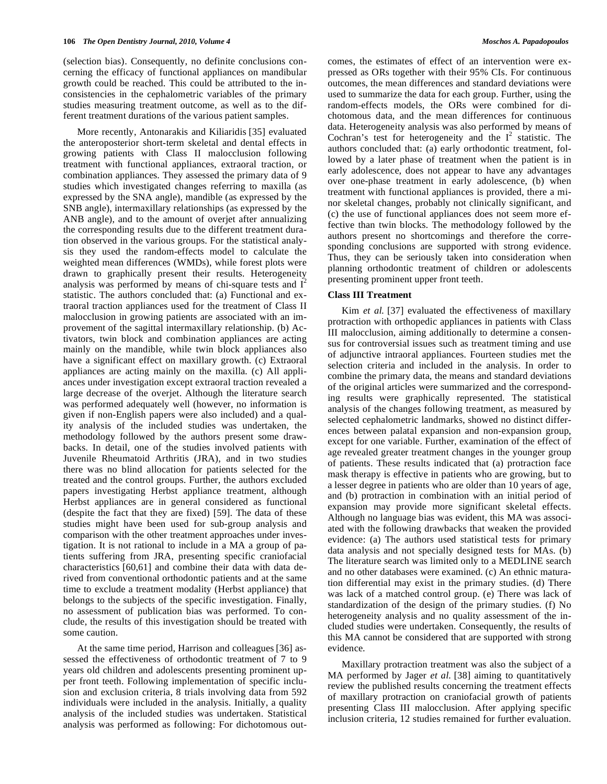(selection bias). Consequently, no definite conclusions concerning the efficacy of functional appliances on mandibular growth could be reached. This could be attributed to the inconsistencies in the cephalometric variables of the primary studies measuring treatment outcome, as well as to the different treatment durations of the various patient samples.

More recently, Antonarakis and Kiliaridis [35] evaluated the anteroposterior short-term skeletal and dental effects in growing patients with Class II malocclusion following treatment with functional appliances, extraoral traction, or combination appliances. They assessed the primary data of 9 studies which investigated changes referring to maxilla (as expressed by the SNA angle), mandible (as expressed by the SNB angle), intermaxillary relationships (as expressed by the ANB angle), and to the amount of overjet after annualizing the corresponding results due to the different treatment duration observed in the various groups. For the statistical analysis they used the random-effects model to calculate the weighted mean differences (WMDs), while forest plots were drawn to graphically present their results. Heterogeneity analysis was performed by means of chi-square tests and  $I^2$ statistic. The authors concluded that: (a) Functional and extraoral traction appliances used for the treatment of Class II malocclusion in growing patients are associated with an improvement of the sagittal intermaxillary relationship. (b) Activators, twin block and combination appliances are acting mainly on the mandible, while twin block appliances also have a significant effect on maxillary growth. (c) Extraoral appliances are acting mainly on the maxilla. (c) All appliances under investigation except extraoral traction revealed a large decrease of the overjet. Although the literature search was performed adequately well (however, no information is given if non-English papers were also included) and a quality analysis of the included studies was undertaken, the methodology followed by the authors present some drawbacks. In detail, one of the studies involved patients with Juvenile Rheumatoid Arthritis (JRA), and in two studies there was no blind allocation for patients selected for the treated and the control groups. Further, the authors excluded papers investigating Herbst appliance treatment, although Herbst appliances are in general considered as functional (despite the fact that they are fixed) [59]. The data of these studies might have been used for sub-group analysis and comparison with the other treatment approaches under investigation. It is not rational to include in a MA a group of patients suffering from JRA, presenting specific craniofacial characteristics [60,61] and combine their data with data derived from conventional orthodontic patients and at the same time to exclude a treatment modality (Herbst appliance) that belongs to the subjects of the specific investigation. Finally, no assessment of publication bias was performed. To conclude, the results of this investigation should be treated with some caution.

At the same time period, Harrison and colleagues[36] assessed the effectiveness of orthodontic treatment of 7 to 9 years old children and adolescents presenting prominent upper front teeth. Following implementation of specific inclusion and exclusion criteria, 8 trials involving data from 592 individuals were included in the analysis. Initially, a quality analysis of the included studies was undertaken. Statistical analysis was performed as following: For dichotomous outcomes, the estimates of effect of an intervention were expressed as ORs together with their 95% CIs. For continuous outcomes, the mean differences and standard deviations were used to summarize the data for each group. Further, using the random-effects models, the ORs were combined for dichotomous data, and the mean differences for continuous data. Heterogeneity analysis was also performed by means of Cochran's test for heterogeneity and the  $I^2$  statistic. The authors concluded that: (a) early orthodontic treatment, followed by a later phase of treatment when the patient is in early adolescence, does not appear to have any advantages over one-phase treatment in early adolescence, (b) when treatment with functional appliances is provided, there a minor skeletal changes, probably not clinically significant, and (c) the use of functional appliances does not seem more effective than twin blocks. The methodology followed by the authors present no shortcomings and therefore the corresponding conclusions are supported with strong evidence. Thus, they can be seriously taken into consideration when planning orthodontic treatment of children or adolescents presenting prominent upper front teeth.

#### **Class III Treatment**

Kim *et al.* [37] evaluated the effectiveness of maxillary protraction with orthopedic appliances in patients with Class III malocclusion, aiming additionally to determine a consensus for controversial issues such as treatment timing and use of adjunctive intraoral appliances. Fourteen studies met the selection criteria and included in the analysis. In order to combine the primary data, the means and standard deviations of the original articles were summarized and the corresponding results were graphically represented. The statistical analysis of the changes following treatment, as measured by selected cephalometric landmarks, showed no distinct differences between palatal expansion and non-expansion group, except for one variable. Further, examination of the effect of age revealed greater treatment changes in the younger group of patients. These results indicated that (a) protraction face mask therapy is effective in patients who are growing, but to a lesser degree in patients who are older than 10 years of age, and (b) protraction in combination with an initial period of expansion may provide more significant skeletal effects. Although no language bias was evident, this MA was associated with the following drawbacks that weaken the provided evidence: (a) The authors used statistical tests for primary data analysis and not specially designed tests for MAs. (b) The literature search was limited only to a MEDLINE search and no other databases were examined. (c) An ethnic maturation differential may exist in the primary studies. (d) There was lack of a matched control group. (e) There was lack of standardization of the design of the primary studies. (f) No heterogeneity analysis and no quality assessment of the included studies were undertaken. Consequently, the results of this MA cannot be considered that are supported with strong evidence.

Maxillary protraction treatment was also the subject of a MA performed by Jager *et al.* [38] aiming to quantitatively review the published results concerning the treatment effects of maxillary protraction on craniofacial growth of patients presenting Class III malocclusion. After applying specific inclusion criteria, 12 studies remained for further evaluation.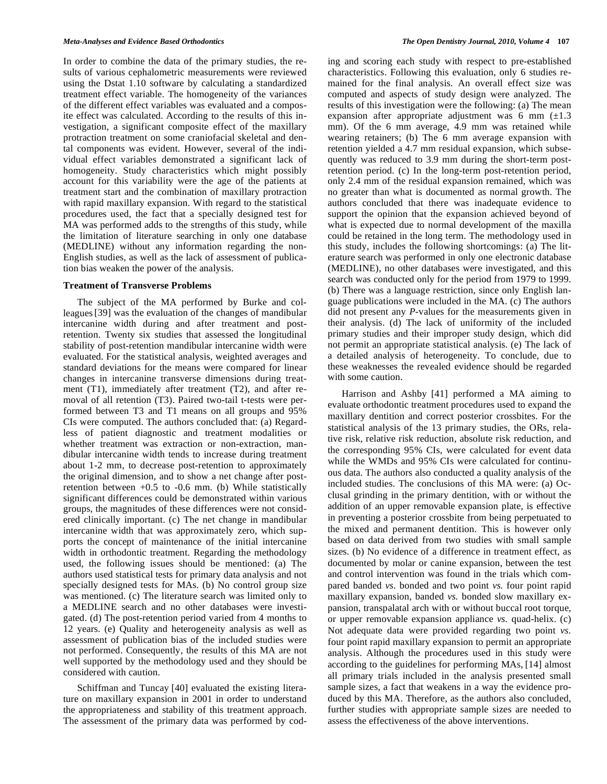In order to combine the data of the primary studies, the results of various cephalometric measurements were reviewed using the Dstat 1.10 software by calculating a standardized treatment effect variable. The homogeneity of the variances of the different effect variables was evaluated and a composite effect was calculated. According to the results of this investigation, a significant composite effect of the maxillary protraction treatment on some craniofacial skeletal and dental components was evident. However, several of the individual effect variables demonstrated a significant lack of homogeneity. Study characteristics which might possibly account for this variability were the age of the patients at treatment start and the combination of maxillary protraction with rapid maxillary expansion. With regard to the statistical procedures used, the fact that a specially designed test for MA was performed adds to the strengths of this study, while the limitation of literature searching in only one database (MEDLINE) without any information regarding the non-English studies, as well as the lack of assessment of publication bias weaken the power of the analysis.

#### **Treatment of Transverse Problems**

The subject of the MA performed by Burke and colleagues[39] was the evaluation of the changes of mandibular intercanine width during and after treatment and postretention. Twenty six studies that assessed the longitudinal stability of post-retention mandibular intercanine width were evaluated. For the statistical analysis, weighted averages and standard deviations for the means were compared for linear changes in intercanine transverse dimensions during treatment (T1), immediately after treatment (T2), and after removal of all retention (T3). Paired two-tail t-tests were performed between T3 and T1 means on all groups and 95% CIs were computed. The authors concluded that: (a) Regardless of patient diagnostic and treatment modalities or whether treatment was extraction or non-extraction, mandibular intercanine width tends to increase during treatment about 1-2 mm, to decrease post-retention to approximately the original dimension, and to show a net change after postretention between  $+0.5$  to  $-0.6$  mm. (b) While statistically significant differences could be demonstrated within various groups, the magnitudes of these differences were not considered clinically important. (c) The net change in mandibular intercanine width that was approximately zero, which supports the concept of maintenance of the initial intercanine width in orthodontic treatment. Regarding the methodology used, the following issues should be mentioned: (a) The authors used statistical tests for primary data analysis and not specially designed tests for MAs. (b) No control group size was mentioned. (c) The literature search was limited only to a MEDLINE search and no other databases were investigated. (d) The post-retention period varied from 4 months to 12 years. (e) Quality and heterogeneity analysis as well as assessment of publication bias of the included studies were not performed. Consequently, the results of this MA are not well supported by the methodology used and they should be considered with caution.

Schiffman and Tuncay [40] evaluated the existing literature on maxillary expansion in 2001 in order to understand the appropriateness and stability of this treatment approach. The assessment of the primary data was performed by coding and scoring each study with respect to pre-established characteristics. Following this evaluation, only 6 studies remained for the final analysis. An overall effect size was computed and aspects of study design were analyzed. The results of this investigation were the following: (a) The mean expansion after appropriate adjustment was 6 mm  $(\pm 1.3)$ mm). Of the 6 mm average, 4.9 mm was retained while wearing retainers; (b) The 6 mm average expansion with retention yielded a 4.7 mm residual expansion, which subsequently was reduced to 3.9 mm during the short-term postretention period. (c) In the long-term post-retention period, only 2.4 mm of the residual expansion remained, which was no greater than what is documented as normal growth. The authors concluded that there was inadequate evidence to support the opinion that the expansion achieved beyond of what is expected due to normal development of the maxilla could be retained in the long term. The methodology used in this study, includes the following shortcomings: (a) The literature search was performed in only one electronic database (MEDLINE), no other databases were investigated, and this search was conducted only for the period from 1979 to 1999. (b) There was a language restriction, since only English language publications were included in the MA. (c) The authors did not present any *P*-values for the measurements given in their analysis. (d) The lack of uniformity of the included primary studies and their improper study design, which did not permit an appropriate statistical analysis. (e) The lack of a detailed analysis of heterogeneity. To conclude, due to these weaknesses the revealed evidence should be regarded with some caution.

Harrison and Ashby [41] performed a MA aiming to evaluate orthodontic treatment procedures used to expand the maxillary dentition and correct posterior crossbites. For the statistical analysis of the 13 primary studies, the ORs, relative risk, relative risk reduction, absolute risk reduction, and the corresponding 95% CIs, were calculated for event data while the WMDs and 95% CIs were calculated for continuous data. The authors also conducted a quality analysis of the included studies. The conclusions of this MA were: (a) Occlusal grinding in the primary dentition, with or without the addition of an upper removable expansion plate, is effective in preventing a posterior crossbite from being perpetuated to the mixed and permanent dentition. This is however only based on data derived from two studies with small sample sizes. (b) No evidence of a difference in treatment effect, as documented by molar or canine expansion, between the test and control intervention was found in the trials which compared banded *vs.* bonded and two point *vs.* four point rapid maxillary expansion, banded *vs.* bonded slow maxillary expansion, transpalatal arch with or without buccal root torque, or upper removable expansion appliance *vs.* quad-helix. (c) Not adequate data were provided regarding two point *vs.* four point rapid maxillary expansion to permit an appropriate analysis. Although the procedures used in this study were according to the guidelines for performing MAs, [14] almost all primary trials included in the analysis presented small sample sizes, a fact that weakens in a way the evidence produced by this MA. Therefore, as the authors also concluded, further studies with appropriate sample sizes are needed to assess the effectiveness of the above interventions.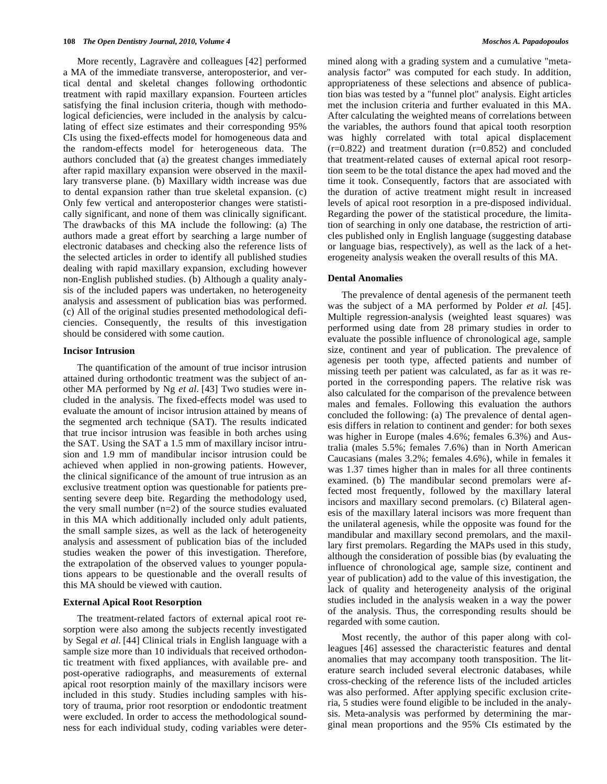More recently, Lagravère and colleagues [42] performed a MA of the immediate transverse, anteroposterior, and vertical dental and skeletal changes following orthodontic treatment with rapid maxillary expansion. Fourteen articles satisfying the final inclusion criteria, though with methodological deficiencies, were included in the analysis by calculating of effect size estimates and their corresponding 95% CIs using the fixed-effects model for homogeneous data and the random-effects model for heterogeneous data. The authors concluded that (a) the greatest changes immediately after rapid maxillary expansion were observed in the maxillary transverse plane. (b) Maxillary width increase was due to dental expansion rather than true skeletal expansion. (c) Only few vertical and anteroposterior changes were statistically significant, and none of them was clinically significant. The drawbacks of this MA include the following: (a) The authors made a great effort by searching a large number of electronic databases and checking also the reference lists of the selected articles in order to identify all published studies dealing with rapid maxillary expansion, excluding however non-English published studies. (b) Although a quality analysis of the included papers was undertaken, no heterogeneity analysis and assessment of publication bias was performed. (c) All of the original studies presented methodological deficiencies. Consequently, the results of this investigation should be considered with some caution.

### **Incisor Intrusion**

The quantification of the amount of true incisor intrusion attained during orthodontic treatment was the subject of another MA performed by Ng *et al.* [43] Two studies were included in the analysis. The fixed-effects model was used to evaluate the amount of incisor intrusion attained by means of the segmented arch technique (SAT). The results indicated that true incisor intrusion was feasible in both arches using the SAT. Using the SAT a 1.5 mm of maxillary incisor intrusion and 1.9 mm of mandibular incisor intrusion could be achieved when applied in non-growing patients. However, the clinical significance of the amount of true intrusion as an exclusive treatment option was questionable for patients presenting severe deep bite. Regarding the methodology used, the very small number  $(n=2)$  of the source studies evaluated in this MA which additionally included only adult patients, the small sample sizes, as well as the lack of heterogeneity analysis and assessment of publication bias of the included studies weaken the power of this investigation. Therefore, the extrapolation of the observed values to younger populations appears to be questionable and the overall results of this MA should be viewed with caution.

#### **External Apical Root Resorption**

The treatment-related factors of external apical root resorption were also among the subjects recently investigated by Segal *et al*. [44] Clinical trials in English language with a sample size more than 10 individuals that received orthodontic treatment with fixed appliances, with available pre- and post-operative radiographs, and measurements of external apical root resorption mainly of the maxillary incisors were included in this study. Studies including samples with history of trauma, prior root resorption or endodontic treatment were excluded. In order to access the methodological soundness for each individual study, coding variables were determined along with a grading system and a cumulative "metaanalysis factor" was computed for each study. In addition, appropriateness of these selections and absence of publication bias was tested by a "funnel plot" analysis. Eight articles met the inclusion criteria and further evaluated in this MA. After calculating the weighted means of correlations between the variables, the authors found that apical tooth resorption was highly correlated with total apical displacement  $(r=0.822)$  and treatment duration  $(r=0.852)$  and concluded that treatment-related causes of external apical root resorption seem to be the total distance the apex had moved and the time it took. Consequently, factors that are associated with the duration of active treatment might result in increased levels of apical root resorption in a pre-disposed individual. Regarding the power of the statistical procedure, the limitation of searching in only one database, the restriction of articles published only in English language (suggesting database or language bias, respectively), as well as the lack of a heterogeneity analysis weaken the overall results of this MA.

#### **Dental Anomalies**

The prevalence of dental agenesis of the permanent teeth was the subject of a MA performed by Polder *et al.* [45]. Multiple regression-analysis (weighted least squares) was performed using date from 28 primary studies in order to evaluate the possible influence of chronological age, sample size, continent and year of publication. The prevalence of agenesis per tooth type, affected patients and number of missing teeth per patient was calculated, as far as it was reported in the corresponding papers. The relative risk was also calculated for the comparison of the prevalence between males and females. Following this evaluation the authors concluded the following: (a) The prevalence of dental agenesis differs in relation to continent and gender: for both sexes was higher in Europe (males 4.6%; females 6.3%) and Australia (males 5.5%; females 7.6%) than in North American Caucasians (males 3.2%; females 4.6%), while in females it was 1.37 times higher than in males for all three continents examined. (b) The mandibular second premolars were affected most frequently, followed by the maxillary lateral incisors and maxillary second premolars. (c) Bilateral agenesis of the maxillary lateral incisors was more frequent than the unilateral agenesis, while the opposite was found for the mandibular and maxillary second premolars, and the maxillary first premolars. Regarding the MAPs used in this study, although the consideration of possible bias (by evaluating the influence of chronological age, sample size, continent and year of publication) add to the value of this investigation, the lack of quality and heterogeneity analysis of the original studies included in the analysis weaken in a way the power of the analysis. Thus, the corresponding results should be regarded with some caution.

Most recently, the author of this paper along with colleagues [46] assessed the characteristic features and dental anomalies that may accompany tooth transposition. The literature search included several electronic databases, while cross-checking of the reference lists of the included articles was also performed. After applying specific exclusion criteria, 5 studies were found eligible to be included in the analysis. Meta-analysis was performed by determining the marginal mean proportions and the 95% CIs estimated by the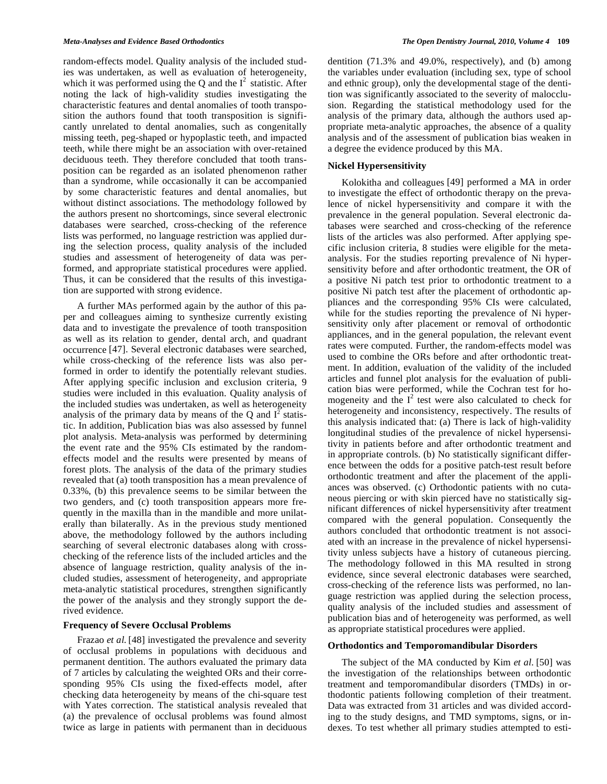random-effects model. Quality analysis of the included studies was undertaken, as well as evaluation of heterogeneity, which it was performed using the O and the  $I^2$  statistic. After noting the lack of high-validity studies investigating the characteristic features and dental anomalies of tooth transposition the authors found that tooth transposition is significantly unrelated to dental anomalies, such as congenitally missing teeth, peg-shaped or hypoplastic teeth, and impacted teeth, while there might be an association with over-retained deciduous teeth. They therefore concluded that tooth transposition can be regarded as an isolated phenomenon rather than a syndrome, while occasionally it can be accompanied by some characteristic features and dental anomalies, but without distinct associations. The methodology followed by the authors present no shortcomings, since several electronic databases were searched, cross-checking of the reference lists was performed, no language restriction was applied during the selection process, quality analysis of the included studies and assessment of heterogeneity of data was performed, and appropriate statistical procedures were applied. Thus, it can be considered that the results of this investigation are supported with strong evidence.

A further MAs performed again by the author of this paper and colleagues aiming to synthesize currently existing data and to investigate the prevalence of tooth transposition as well as its relation to gender, dental arch, and quadrant occurrence [47]. Several electronic databases were searched, while cross-checking of the reference lists was also performed in order to identify the potentially relevant studies. After applying specific inclusion and exclusion criteria, 9 studies were included in this evaluation. Quality analysis of the included studies was undertaken, as well as heterogeneity analysis of the primary data by means of the Q and  $I^2$  statistic. In addition, Publication bias was also assessed by funnel plot analysis. Meta-analysis was performed by determining the event rate and the 95% CIs estimated by the randomeffects model and the results were presented by means of forest plots. The analysis of the data of the primary studies revealed that (a) tooth transposition has a mean prevalence of 0.33%, (b) this prevalence seems to be similar between the two genders, and (c) tooth transposition appears more frequently in the maxilla than in the mandible and more unilaterally than bilaterally. As in the previous study mentioned above, the methodology followed by the authors including searching of several electronic databases along with crosschecking of the reference lists of the included articles and the absence of language restriction, quality analysis of the included studies, assessment of heterogeneity, and appropriate meta-analytic statistical procedures, strengthen significantly the power of the analysis and they strongly support the derived evidence.

#### **Frequency of Severe Occlusal Problems**

Frazao *et al.* [48] investigated the prevalence and severity of occlusal problems in populations with deciduous and permanent dentition. The authors evaluated the primary data of 7 articles by calculating the weighted ORs and their corresponding 95% CIs using the fixed-effects model, after checking data heterogeneity by means of the chi-square test with Yates correction. The statistical analysis revealed that (a) the prevalence of occlusal problems was found almost twice as large in patients with permanent than in deciduous

dentition (71.3% and 49.0%, respectively), and (b) among the variables under evaluation (including sex, type of school and ethnic group), only the developmental stage of the dentition was significantly associated to the severity of malocclusion. Regarding the statistical methodology used for the analysis of the primary data, although the authors used appropriate meta-analytic approaches, the absence of a quality analysis and of the assessment of publication bias weaken in a degree the evidence produced by this MA.

#### **Nickel Hypersensitivity**

Kolokitha and colleagues [49] performed a MA in order to investigate the effect of orthodontic therapy on the prevalence of nickel hypersensitivity and compare it with the prevalence in the general population. Several electronic databases were searched and cross-checking of the reference lists of the articles was also performed. After applying specific inclusion criteria, 8 studies were eligible for the metaanalysis. For the studies reporting prevalence of Ni hypersensitivity before and after orthodontic treatment, the OR of a positive Ni patch test prior to orthodontic treatment to a positive Ni patch test after the placement of orthodontic appliances and the corresponding 95% CIs were calculated, while for the studies reporting the prevalence of Ni hypersensitivity only after placement or removal of orthodontic appliances, and in the general population, the relevant event rates were computed. Further, the random-effects model was used to combine the ORs before and after orthodontic treatment. In addition, evaluation of the validity of the included articles and funnel plot analysis for the evaluation of publication bias were performed, while the Cochran test for homogeneity and the  $I^2$  test were also calculated to check for heterogeneity and inconsistency, respectively. The results of this analysis indicated that: (a) There is lack of high-validity longitudinal studies of the prevalence of nickel hypersensitivity in patients before and after orthodontic treatment and in appropriate controls. (b) No statistically significant difference between the odds for a positive patch-test result before orthodontic treatment and after the placement of the appliances was observed. (c) Orthodontic patients with no cutaneous piercing or with skin pierced have no statistically significant differences of nickel hypersensitivity after treatment compared with the general population. Consequently the authors concluded that orthodontic treatment is not associated with an increase in the prevalence of nickel hypersensitivity unless subjects have a history of cutaneous piercing. The methodology followed in this MA resulted in strong evidence, since several electronic databases were searched, cross-checking of the reference lists was performed, no language restriction was applied during the selection process, quality analysis of the included studies and assessment of publication bias and of heterogeneity was performed, as well as appropriate statistical procedures were applied.

#### **Orthodontics and Temporomandibular Disorders**

The subject of the MA conducted by Kim *et al.* [50] was the investigation of the relationships between orthodontic treatment and temporomandibular disorders (TMDs) in orthodontic patients following completion of their treatment. Data was extracted from 31 articles and was divided according to the study designs, and TMD symptoms, signs, or indexes. To test whether all primary studies attempted to esti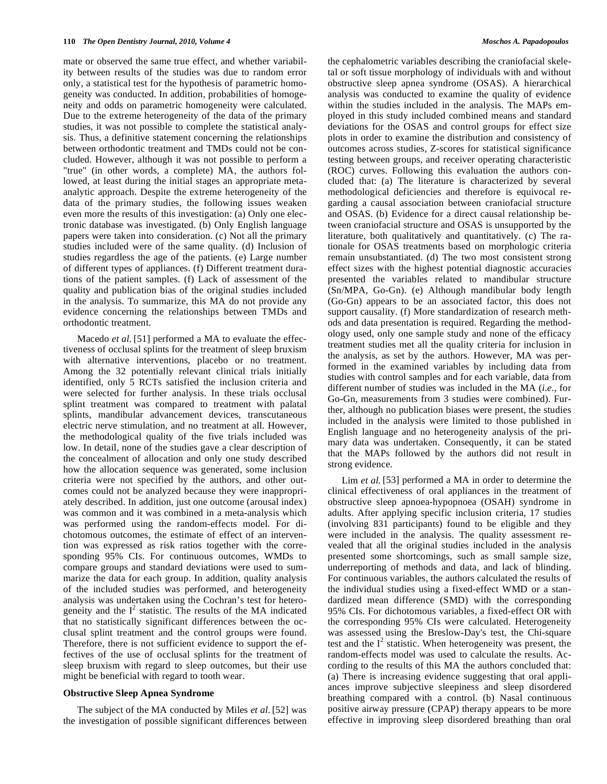mate or observed the same true effect, and whether variability between results of the studies was due to random error only, a statistical test for the hypothesis of parametric homogeneity was conducted. In addition, probabilities of homogeneity and odds on parametric homogeneity were calculated. Due to the extreme heterogeneity of the data of the primary studies, it was not possible to complete the statistical analysis. Thus, a definitive statement concerning the relationships between orthodontic treatment and TMDs could not be concluded. However, although it was not possible to perform a "true" (in other words, a complete) MA, the authors followed, at least during the initial stages an appropriate metaanalytic approach. Despite the extreme heterogeneity of the data of the primary studies, the following issues weaken even more the results of this investigation: (a) Only one electronic database was investigated. (b) Only English language papers were taken into consideration. (c) Not all the primary studies included were of the same quality. (d) Inclusion of studies regardless the age of the patients. (e) Large number of different types of appliances. (f) Different treatment durations of the patient samples. (f) Lack of assessment of the quality and publication bias of the original studies included in the analysis. To summarize, this MA do not provide any evidence concerning the relationships between TMDs and orthodontic treatment.

Macedo *et al.* [51] performed a MA to evaluate the effectiveness of occlusal splints for the treatment of sleep bruxism with alternative interventions, placebo or no treatment. Among the 32 potentially relevant clinical trials initially identified, only 5 RCTs satisfied the inclusion criteria and were selected for further analysis. In these trials occlusal splint treatment was compared to treatment with palatal splints, mandibular advancement devices, transcutaneous electric nerve stimulation, and no treatment at all. However, the methodological quality of the five trials included was low. In detail, none of the studies gave a clear description of the concealment of allocation and only one study described how the allocation sequence was generated, some inclusion criteria were not specified by the authors, and other outcomes could not be analyzed because they were inappropriately described. In addition, just one outcome (arousal index) was common and it was combined in a meta-analysis which was performed using the random-effects model. For dichotomous outcomes, the estimate of effect of an intervention was expressed as risk ratios together with the corresponding 95% CIs. For continuous outcomes, WMDs to compare groups and standard deviations were used to summarize the data for each group. In addition, quality analysis of the included studies was performed, and heterogeneity analysis was undertaken using the Cochran's test for heterogeneity and the  $I^2$  statistic. The results of the MA indicated that no statistically significant differences between the occlusal splint treatment and the control groups were found. Therefore, there is not sufficient evidence to support the effectives of the use of occlusal splints for the treatment of sleep bruxism with regard to sleep outcomes, but their use might be beneficial with regard to tooth wear.

#### **Obstructive Sleep Apnea Syndrome**

The subject of the MA conducted by Miles *et al.*[52] was the investigation of possible significant differences between the cephalometric variables describing the craniofacial skeletal or soft tissue morphology of individuals with and without obstructive sleep apnea syndrome (OSAS). A hierarchical analysis was conducted to examine the quality of evidence within the studies included in the analysis. The MAPs employed in this study included combined means and standard deviations for the OSAS and control groups for effect size plots in order to examine the distribution and consistency of outcomes across studies, Z-scores for statistical significance testing between groups, and receiver operating characteristic (ROC) curves. Following this evaluation the authors concluded that: (a) The literature is characterized by several methodological deficiencies and therefore is equivocal regarding a causal association between craniofacial structure and OSAS. (b) Evidence for a direct causal relationship between craniofacial structure and OSAS is unsupported by the literature, both qualitatively and quantitatively. (c) The rationale for OSAS treatments based on morphologic criteria remain unsubstantiated. (d) The two most consistent strong effect sizes with the highest potential diagnostic accuracies presented the variables related to mandibular structure (Sn/MPA, Go-Gn). (e) Although mandibular body length (Go-Gn) appears to be an associated factor, this does not support causality. (f) More standardization of research methods and data presentation is required. Regarding the methodology used, only one sample study and none of the efficacy treatment studies met all the quality criteria for inclusion in the analysis, as set by the authors. However, MA was performed in the examined variables by including data from studies with control samples and for each variable, data from different number of studies was included in the MA (*i.e.,* for Go-Gn, measurements from 3 studies were combined). Further, although no publication biases were present, the studies included in the analysis were limited to those published in English language and no heterogeneity analysis of the primary data was undertaken. Consequently, it can be stated that the MAPs followed by the authors did not result in strong evidence.

Lim *et al.* [53] performed a MA in order to determine the clinical effectiveness of oral appliances in the treatment of obstructive sleep apnoea-hypopnoea (OSAH) syndrome in adults. After applying specific inclusion criteria, 17 studies (involving 831 participants) found to be eligible and they were included in the analysis. The quality assessment revealed that all the original studies included in the analysis presented some shortcomings, such as small sample size, underreporting of methods and data, and lack of blinding. For continuous variables, the authors calculated the results of the individual studies using a fixed-effect WMD or a standardized mean difference (SMD) with the corresponding 95% CIs. For dichotomous variables, a fixed-effect OR with the corresponding 95% CIs were calculated. Heterogeneity was assessed using the Breslow-Day's test, the Chi-square test and the  $I^2$  statistic. When heterogeneity was present, the random-effects model was used to calculate the results. According to the results of this MA the authors concluded that: (a) There is increasing evidence suggesting that oral appliances improve subjective sleepiness and sleep disordered breathing compared with a control. (b) Nasal continuous positive airway pressure (CPAP) therapy appears to be more effective in improving sleep disordered breathing than oral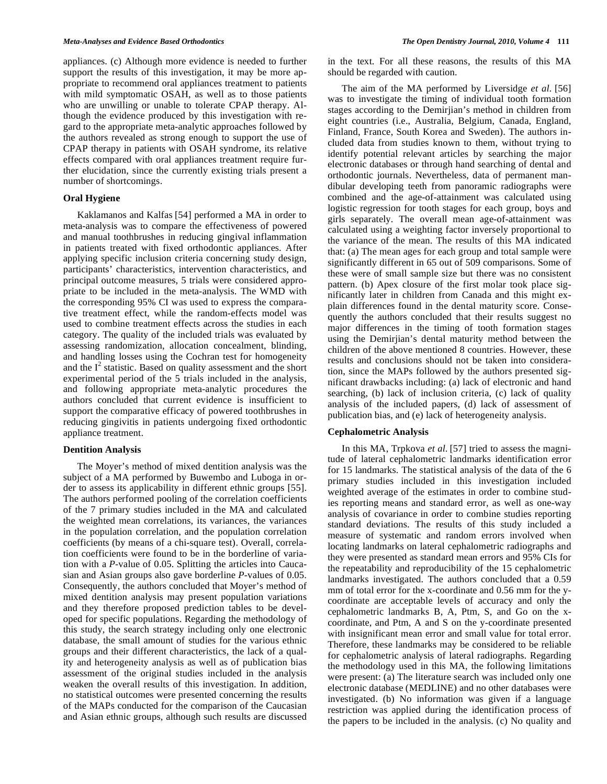appliances. (c) Although more evidence is needed to further support the results of this investigation, it may be more appropriate to recommend oral appliances treatment to patients with mild symptomatic OSAH, as well as to those patients who are unwilling or unable to tolerate CPAP therapy. Although the evidence produced by this investigation with regard to the appropriate meta-analytic approaches followed by the authors revealed as strong enough to support the use of CPAP therapy in patients with OSAH syndrome, its relative effects compared with oral appliances treatment require further elucidation, since the currently existing trials present a number of shortcomings.

#### **Oral Hygiene**

Kaklamanos and Kalfas [54] performed a MA in order to meta-analysis was to compare the effectiveness of powered and manual toothbrushes in reducing gingival inflammation in patients treated with fixed orthodontic appliances. After applying specific inclusion criteria concerning study design, participants' characteristics, intervention characteristics, and principal outcome measures, 5 trials were considered appropriate to be included in the meta-analysis. The WMD with the corresponding 95% CI was used to express the comparative treatment effect, while the random-effects model was used to combine treatment effects across the studies in each category. The quality of the included trials was evaluated by assessing randomization, allocation concealment, blinding, and handling losses using the Cochran test for homogeneity and the  $I^2$  statistic. Based on quality assessment and the short experimental period of the 5 trials included in the analysis, and following appropriate meta-analytic procedures the authors concluded that current evidence is insufficient to support the comparative efficacy of powered toothbrushes in reducing gingivitis in patients undergoing fixed orthodontic appliance treatment.

#### **Dentition Analysis**

The Moyer's method of mixed dentition analysis was the subject of a MA performed by Buwembo and Luboga in order to assess its applicability in different ethnic groups [55]. The authors performed pooling of the correlation coefficients of the 7 primary studies included in the MA and calculated the weighted mean correlations, its variances, the variances in the population correlation, and the population correlation coefficients (by means of a chi-square test). Overall, correlation coefficients were found to be in the borderline of variation with a *P*-value of 0.05. Splitting the articles into Caucasian and Asian groups also gave borderline *P*-values of 0.05. Consequently, the authors concluded that Moyer's method of mixed dentition analysis may present population variations and they therefore proposed prediction tables to be developed for specific populations. Regarding the methodology of this study, the search strategy including only one electronic database, the small amount of studies for the various ethnic groups and their different characteristics, the lack of a quality and heterogeneity analysis as well as of publication bias assessment of the original studies included in the analysis weaken the overall results of this investigation. In addition, no statistical outcomes were presented concerning the results of the MAPs conducted for the comparison of the Caucasian and Asian ethnic groups, although such results are discussed

in the text. For all these reasons, the results of this MA should be regarded with caution.

The aim of the MA performed by Liversidge *et al.* [56] was to investigate the timing of individual tooth formation stages according to the Demirjian's method in children from eight countries (i.e., Australia, Belgium, Canada, England, Finland, France, South Korea and Sweden). The authors included data from studies known to them, without trying to identify potential relevant articles by searching the major electronic databases or through hand searching of dental and orthodontic journals. Nevertheless, data of permanent mandibular developing teeth from panoramic radiographs were combined and the age-of-attainment was calculated using logistic regression for tooth stages for each group, boys and girls separately. The overall mean age-of-attainment was calculated using a weighting factor inversely proportional to the variance of the mean. The results of this MA indicated that: (a) The mean ages for each group and total sample were significantly different in 65 out of 509 comparisons. Some of these were of small sample size but there was no consistent pattern. (b) Apex closure of the first molar took place significantly later in children from Canada and this might explain differences found in the dental maturity score. Consequently the authors concluded that their results suggest no major differences in the timing of tooth formation stages using the Demirjian's dental maturity method between the children of the above mentioned 8 countries. However, these results and conclusions should not be taken into consideration, since the MAPs followed by the authors presented significant drawbacks including: (a) lack of electronic and hand searching, (b) lack of inclusion criteria, (c) lack of quality analysis of the included papers, (d) lack of assessment of publication bias, and (e) lack of heterogeneity analysis.

### **Cephalometric Analysis**

In this MA, Trpkova *et al.* [57] tried to assess the magnitude of lateral cephalometric landmarks identification error for 15 landmarks. The statistical analysis of the data of the 6 primary studies included in this investigation included weighted average of the estimates in order to combine studies reporting means and standard error, as well as one-way analysis of covariance in order to combine studies reporting standard deviations. The results of this study included a measure of systematic and random errors involved when locating landmarks on lateral cephalometric radiographs and they were presented as standard mean errors and 95% CIs for the repeatability and reproducibility of the 15 cephalometric landmarks investigated. The authors concluded that a 0.59 mm of total error for the x-coordinate and 0.56 mm for the ycoordinate are acceptable levels of accuracy and only the cephalometric landmarks B, A, Ptm, S, and Go on the xcoordinate, and Ptm, A and S on the y-coordinate presented with insignificant mean error and small value for total error. Therefore, these landmarks may be considered to be reliable for cephalometric analysis of lateral radiographs. Regarding the methodology used in this MA, the following limitations were present: (a) The literature search was included only one electronic database (MEDLINE) and no other databases were investigated. (b) No information was given if a language restriction was applied during the identification process of the papers to be included in the analysis. (c) No quality and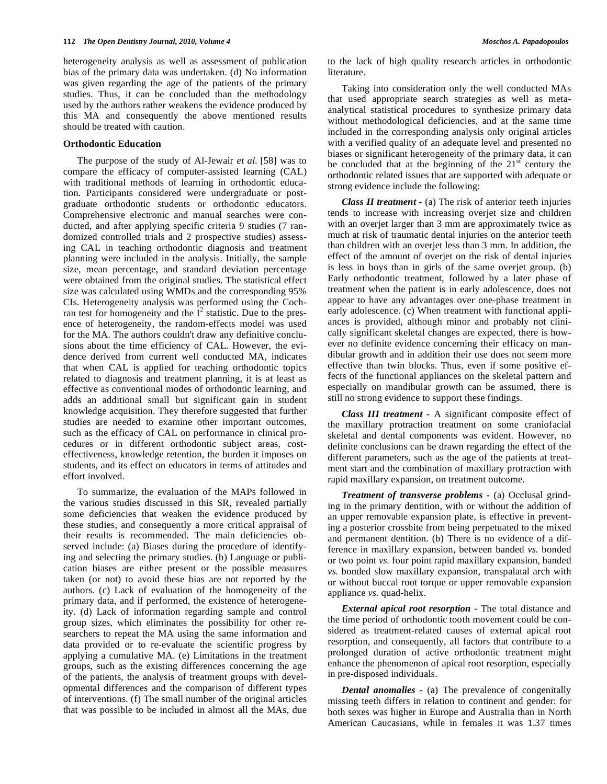heterogeneity analysis as well as assessment of publication bias of the primary data was undertaken. (d) No information was given regarding the age of the patients of the primary studies. Thus, it can be concluded than the methodology used by the authors rather weakens the evidence produced by this MA and consequently the above mentioned results should be treated with caution.

#### **Orthodontic Education**

The purpose of the study of Al-Jewair *et al.* [58] was to compare the efficacy of computer-assisted learning (CAL) with traditional methods of learning in orthodontic education. Participants considered were undergraduate or postgraduate orthodontic students or orthodontic educators. Comprehensive electronic and manual searches were conducted, and after applying specific criteria 9 studies (7 randomized controlled trials and 2 prospective studies) assessing CAL in teaching orthodontic diagnosis and treatment planning were included in the analysis. Initially, the sample size, mean percentage, and standard deviation percentage were obtained from the original studies. The statistical effect size was calculated using WMDs and the corresponding 95% CIs. Heterogeneity analysis was performed using the Cochran test for homogeneity and the  $\hat{I}^2$  statistic. Due to the presence of heterogeneity, the random-effects model was used for the MA. The authors couldn't draw any definitive conclusions about the time efficiency of CAL. However, the evidence derived from current well conducted MA, indicates that when CAL is applied for teaching orthodontic topics related to diagnosis and treatment planning, it is at least as effective as conventional modes of orthodontic learning, and adds an additional small but significant gain in student knowledge acquisition. They therefore suggested that further studies are needed to examine other important outcomes, such as the efficacy of CAL on performance in clinical procedures or in different orthodontic subject areas, costeffectiveness, knowledge retention, the burden it imposes on students, and its effect on educators in terms of attitudes and effort involved.

To summarize, the evaluation of the MAPs followed in the various studies discussed in this SR, revealed partially some deficiencies that weaken the evidence produced by these studies, and consequently a more critical appraisal of their results is recommended. The main deficiencies observed include: (a) Biases during the procedure of identifying and selecting the primary studies. (b) Language or publication biases are either present or the possible measures taken (or not) to avoid these bias are not reported by the authors. (c) Lack of evaluation of the homogeneity of the primary data, and if performed, the existence of heterogeneity. (d) Lack of information regarding sample and control group sizes, which eliminates the possibility for other researchers to repeat the MA using the same information and data provided or to re-evaluate the scientific progress by applying a cumulative MA. (e) Limitations in the treatment groups, such as the existing differences concerning the age of the patients, the analysis of treatment groups with developmental differences and the comparison of different types of interventions. (f) The small number of the original articles that was possible to be included in almost all the MAs, due

to the lack of high quality research articles in orthodontic literature.

Taking into consideration only the well conducted MAs that used appropriate search strategies as well as metaanalytical statistical procedures to synthesize primary data without methodological deficiencies, and at the same time included in the corresponding analysis only original articles with a verified quality of an adequate level and presented no biases or significant heterogeneity of the primary data, it can be concluded that at the beginning of the  $21<sup>st</sup>$  century the orthodontic related issues that are supported with adequate or strong evidence include the following:

*Class II treatment* - (a) The risk of anterior teeth injuries tends to increase with increasing overjet size and children with an overjet larger than 3 mm are approximately twice as much at risk of traumatic dental injuries on the anterior teeth than children with an overjet less than 3 mm. In addition, the effect of the amount of overjet on the risk of dental injuries is less in boys than in girls of the same overjet group. (b) Early orthodontic treatment, followed by a later phase of treatment when the patient is in early adolescence, does not appear to have any advantages over one-phase treatment in early adolescence. (c) When treatment with functional appliances is provided, although minor and probably not clinically significant skeletal changes are expected, there is however no definite evidence concerning their efficacy on mandibular growth and in addition their use does not seem more effective than twin blocks. Thus, even if some positive effects of the functional appliances on the skeletal pattern and especially on mandibular growth can be assumed, there is still no strong evidence to support these findings.

*Class III treatment* **-** A significant composite effect of the maxillary protraction treatment on some craniofacial skeletal and dental components was evident. However, no definite conclusions can be drawn regarding the effect of the different parameters, such as the age of the patients at treatment start and the combination of maxillary protraction with rapid maxillary expansion, on treatment outcome.

*Treatment of transverse problems* **-** (a) Occlusal grinding in the primary dentition, with or without the addition of an upper removable expansion plate, is effective in preventing a posterior crossbite from being perpetuated to the mixed and permanent dentition. (b) There is no evidence of a difference in maxillary expansion, between banded *vs.* bonded or two point *vs.* four point rapid maxillary expansion, banded *vs.* bonded slow maxillary expansion, transpalatal arch with or without buccal root torque or upper removable expansion appliance *vs.* quad-helix.

*External apical root resorption* **-** The total distance and the time period of orthodontic tooth movement could be considered as treatment-related causes of external apical root resorption, and consequently, all factors that contribute to a prolonged duration of active orthodontic treatment might enhance the phenomenon of apical root resorption, especially in pre-disposed individuals.

*Dental anomalies* **-** (a) The prevalence of congenitally missing teeth differs in relation to continent and gender: for both sexes was higher in Europe and Australia than in North American Caucasians, while in females it was 1.37 times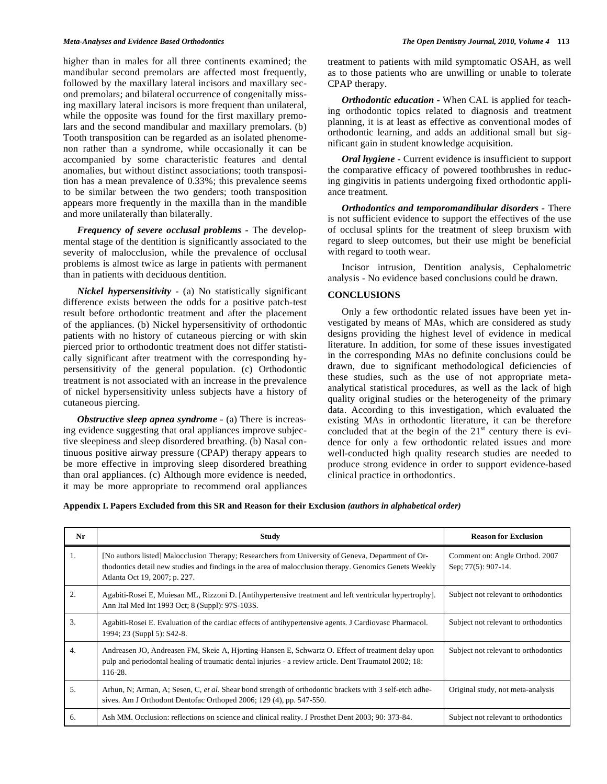#### *Meta-Analyses and Evidence Based Orthodontics The Open Dentistry Journal, 2010, Volume 4* **113**

higher than in males for all three continents examined; the mandibular second premolars are affected most frequently, followed by the maxillary lateral incisors and maxillary second premolars; and bilateral occurrence of congenitally missing maxillary lateral incisors is more frequent than unilateral, while the opposite was found for the first maxillary premolars and the second mandibular and maxillary premolars. (b) Tooth transposition can be regarded as an isolated phenomenon rather than a syndrome, while occasionally it can be accompanied by some characteristic features and dental anomalies, but without distinct associations; tooth transposition has a mean prevalence of 0.33%; this prevalence seems to be similar between the two genders; tooth transposition appears more frequently in the maxilla than in the mandible and more unilaterally than bilaterally.

*Frequency of severe occlusal problems* **-** The developmental stage of the dentition is significantly associated to the severity of malocclusion, while the prevalence of occlusal problems is almost twice as large in patients with permanent than in patients with deciduous dentition.

*Nickel hypersensitivity* **-** (a) No statistically significant difference exists between the odds for a positive patch-test result before orthodontic treatment and after the placement of the appliances. (b) Nickel hypersensitivity of orthodontic patients with no history of cutaneous piercing or with skin pierced prior to orthodontic treatment does not differ statistically significant after treatment with the corresponding hypersensitivity of the general population. (c) Orthodontic treatment is not associated with an increase in the prevalence of nickel hypersensitivity unless subjects have a history of cutaneous piercing.

*Obstructive sleep apnea syndrome* - (a) There is increasing evidence suggesting that oral appliances improve subjective sleepiness and sleep disordered breathing. (b) Nasal continuous positive airway pressure (CPAP) therapy appears to be more effective in improving sleep disordered breathing than oral appliances. (c) Although more evidence is needed, it may be more appropriate to recommend oral appliances

treatment to patients with mild symptomatic OSAH, as well as to those patients who are unwilling or unable to tolerate CPAP therapy.

*Orthodontic education* **-** When CAL is applied for teaching orthodontic topics related to diagnosis and treatment planning, it is at least as effective as conventional modes of orthodontic learning, and adds an additional small but significant gain in student knowledge acquisition.

*Oral hygiene* - Current evidence is insufficient to support the comparative efficacy of powered toothbrushes in reducing gingivitis in patients undergoing fixed orthodontic appliance treatment.

*Orthodontics and temporomandibular disorders* **-** There is not sufficient evidence to support the effectives of the use of occlusal splints for the treatment of sleep bruxism with regard to sleep outcomes, but their use might be beneficial with regard to tooth wear.

Incisor intrusion, Dentition analysis, Cephalometric analysis - No evidence based conclusions could be drawn.

### **CONCLUSIONS**

Only a few orthodontic related issues have been yet investigated by means of MAs, which are considered as study designs providing the highest level of evidence in medical literature. In addition, for some of these issues investigated in the corresponding MAs no definite conclusions could be drawn, due to significant methodological deficiencies of these studies, such as the use of not appropriate metaanalytical statistical procedures, as well as the lack of high quality original studies or the heterogeneity of the primary data. According to this investigation, which evaluated the existing MAs in orthodontic literature, it can be therefore concluded that at the begin of the  $21<sup>st</sup>$  century there is evidence for only a few orthodontic related issues and more well-conducted high quality research studies are needed to produce strong evidence in order to support evidence-based clinical practice in orthodontics.

**Appendix I. Papers Excluded from this SR and Reason for their Exclusion** *(authors in alphabetical order)*

| Nr | <b>Study</b>                                                                                                                                                                                                                                  | <b>Reason for Exclusion</b>                           |
|----|-----------------------------------------------------------------------------------------------------------------------------------------------------------------------------------------------------------------------------------------------|-------------------------------------------------------|
| 1. | [No authors listed] Malocclusion Therapy; Researchers from University of Geneva, Department of Or-<br>thodontics detail new studies and findings in the area of malocclusion therapy. Genomics Genets Weekly<br>Atlanta Oct 19, 2007; p. 227. | Comment on: Angle Orthod. 2007<br>Sep; 77(5): 907-14. |
| 2. | Agabiti-Rosei E, Muiesan ML, Rizzoni D. [Antihypertensive treatment and left ventricular hypertrophy].<br>Ann Ital Med Int 1993 Oct; 8 (Suppl): 97S-103S.                                                                                     | Subject not relevant to orthodontics                  |
| 3. | Agabiti-Rosei E. Evaluation of the cardiac effects of antihypertensive agents. J Cardiovasc Pharmacol.<br>1994; 23 (Suppl 5): S42-8.                                                                                                          | Subject not relevant to orthodontics                  |
| 4. | Andreasen JO, Andreasen FM, Skeie A, Hjorting-Hansen E, Schwartz O. Effect of treatment delay upon<br>pulp and periodontal healing of traumatic dental injuries - a review article. Dent Traumatol 2002; 18:<br>116-28.                       | Subject not relevant to orthodontics                  |
| 5. | Arhun, N; Arman, A; Sesen, C, et al. Shear bond strength of orthodontic brackets with 3 self-etch adhe-<br>sives. Am J Orthodont Dentofac Orthoped 2006; 129 (4), pp. 547-550.                                                                | Original study, not meta-analysis                     |
| 6. | Ash MM. Occlusion: reflections on science and clinical reality. J Prosthet Dent 2003; 90: 373-84.                                                                                                                                             | Subject not relevant to orthodontics                  |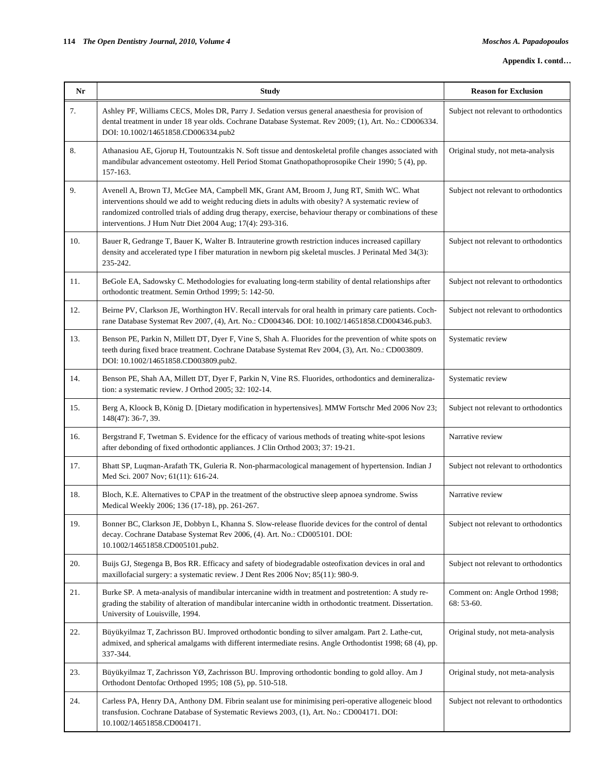| Nr  | <b>Study</b>                                                                                                                                                                                                                                                                                                                                                           | <b>Reason for Exclusion</b>                  |
|-----|------------------------------------------------------------------------------------------------------------------------------------------------------------------------------------------------------------------------------------------------------------------------------------------------------------------------------------------------------------------------|----------------------------------------------|
| 7.  | Ashley PF, Williams CECS, Moles DR, Parry J. Sedation versus general anaesthesia for provision of<br>dental treatment in under 18 year olds. Cochrane Database Systemat. Rev 2009; (1), Art. No.: CD006334.<br>DOI: 10.1002/14651858.CD006334.pub2                                                                                                                     | Subject not relevant to orthodontics         |
| 8.  | Athanasiou AE, Gjorup H, Toutountzakis N. Soft tissue and dentoskeletal profile changes associated with<br>mandibular advancement osteotomy. Hell Period Stomat Gnathopathoprosopike Cheir 1990; 5 (4), pp.<br>157-163.                                                                                                                                                | Original study, not meta-analysis            |
| 9.  | Avenell A, Brown TJ, McGee MA, Campbell MK, Grant AM, Broom J, Jung RT, Smith WC. What<br>interventions should we add to weight reducing diets in adults with obesity? A systematic review of<br>randomized controlled trials of adding drug therapy, exercise, behaviour therapy or combinations of these<br>interventions. J Hum Nutr Diet 2004 Aug; 17(4): 293-316. | Subject not relevant to orthodontics         |
| 10. | Bauer R, Gedrange T, Bauer K, Walter B. Intrauterine growth restriction induces increased capillary<br>density and accelerated type I fiber maturation in newborn pig skeletal muscles. J Perinatal Med 34(3):<br>235-242.                                                                                                                                             | Subject not relevant to orthodontics         |
| 11. | BeGole EA, Sadowsky C. Methodologies for evaluating long-term stability of dental relationships after<br>orthodontic treatment. Semin Orthod 1999; 5: 142-50.                                                                                                                                                                                                          | Subject not relevant to orthodontics         |
| 12. | Beirne PV, Clarkson JE, Worthington HV. Recall intervals for oral health in primary care patients. Coch-<br>rane Database Systemat Rev 2007, (4), Art. No.: CD004346. DOI: 10.1002/14651858.CD004346.pub3.                                                                                                                                                             | Subject not relevant to orthodontics         |
| 13. | Benson PE, Parkin N, Millett DT, Dyer F, Vine S, Shah A. Fluorides for the prevention of white spots on<br>teeth during fixed brace treatment. Cochrane Database Systemat Rev 2004, (3), Art. No.: CD003809.<br>DOI: 10.1002/14651858.CD003809.pub2.                                                                                                                   | Systematic review                            |
| 14. | Benson PE, Shah AA, Millett DT, Dyer F, Parkin N, Vine RS. Fluorides, orthodontics and demineraliza-<br>tion: a systematic review. J Orthod 2005; 32: 102-14.                                                                                                                                                                                                          | Systematic review                            |
| 15. | Berg A, Kloock B, König D. [Dietary modification in hypertensives]. MMW Fortschr Med 2006 Nov 23;<br>148(47): 36-7, 39.                                                                                                                                                                                                                                                | Subject not relevant to orthodontics         |
| 16. | Bergstrand F, Twetman S. Evidence for the efficacy of various methods of treating white-spot lesions<br>after debonding of fixed orthodontic appliances. J Clin Orthod 2003; 37: 19-21.                                                                                                                                                                                | Narrative review                             |
| 17. | Bhatt SP, Luqman-Arafath TK, Guleria R. Non-pharmacological management of hypertension. Indian J<br>Med Sci. 2007 Nov; 61(11): 616-24.                                                                                                                                                                                                                                 | Subject not relevant to orthodontics         |
| 18. | Bloch, K.E. Alternatives to CPAP in the treatment of the obstructive sleep apnoea syndrome. Swiss<br>Medical Weekly 2006; 136 (17-18), pp. 261-267.                                                                                                                                                                                                                    | Narrative review                             |
| 19. | Bonner BC, Clarkson JE, Dobbyn L, Khanna S. Slow-release fluoride devices for the control of dental<br>decay. Cochrane Database Systemat Rev 2006, (4). Art. No.: CD005101. DOI:<br>10.1002/14651858.CD005101.pub2.                                                                                                                                                    | Subject not relevant to orthodontics         |
| 20. | Buijs GJ, Stegenga B, Bos RR. Efficacy and safety of biodegradable osteofixation devices in oral and<br>maxillofacial surgery: a systematic review. J Dent Res 2006 Nov; 85(11): 980-9.                                                                                                                                                                                | Subject not relevant to orthodontics         |
| 21. | Burke SP. A meta-analysis of mandibular intercanine width in treatment and postretention: A study re-<br>grading the stability of alteration of mandibular intercanine width in orthodontic treatment. Dissertation.<br>University of Louisville, 1994.                                                                                                                | Comment on: Angle Orthod 1998;<br>68: 53-60. |
| 22. | Büyükyilmaz T, Zachrisson BU. Improved orthodontic bonding to silver amalgam. Part 2. Lathe-cut,<br>admixed, and spherical amalgams with different intermediate resins. Angle Orthodontist 1998; 68 (4), pp.<br>337-344.                                                                                                                                               | Original study, not meta-analysis            |
| 23. | Büyükyilmaz T, Zachrisson YØ, Zachrisson BU. Improving orthodontic bonding to gold alloy. Am J<br>Orthodont Dentofac Orthoped 1995; 108 (5), pp. 510-518.                                                                                                                                                                                                              | Original study, not meta-analysis            |
| 24. | Carless PA, Henry DA, Anthony DM. Fibrin sealant use for minimising peri-operative allogeneic blood<br>transfusion. Cochrane Database of Systematic Reviews 2003, (1), Art. No.: CD004171. DOI:<br>10.1002/14651858.CD004171.                                                                                                                                          | Subject not relevant to orthodontics         |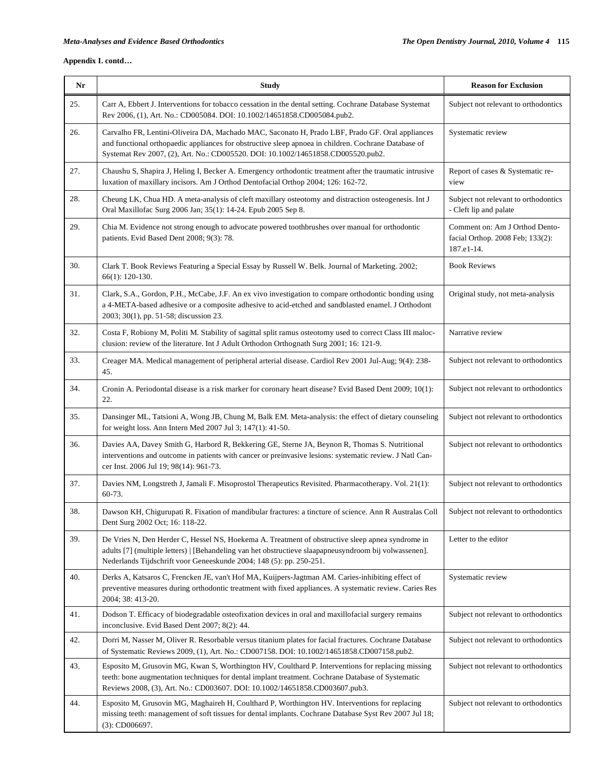| Nr  | <b>Study</b>                                                                                                                                                                                                                                                                                | <b>Reason for Exclusion</b>                                                      |
|-----|---------------------------------------------------------------------------------------------------------------------------------------------------------------------------------------------------------------------------------------------------------------------------------------------|----------------------------------------------------------------------------------|
| 25. | Carr A, Ebbert J. Interventions for tobacco cessation in the dental setting. Cochrane Database Systemat<br>Rev 2006, (1), Art. No.: CD005084. DOI: 10.1002/14651858.CD005084.pub2.                                                                                                          | Subject not relevant to orthodontics                                             |
| 26. | Carvalho FR, Lentini-Oliveira DA, Machado MAC, Saconato H, Prado LBF, Prado GF. Oral appliances<br>and functional orthopaedic appliances for obstructive sleep apnoea in children. Cochrane Database of<br>Systemat Rev 2007, (2), Art. No.: CD005520. DOI: 10.1002/14651858.CD005520.pub2. | Systematic review                                                                |
| 27. | Chaushu S, Shapira J, Heling I, Becker A. Emergency orthodontic treatment after the traumatic intrusive<br>luxation of maxillary incisors. Am J Orthod Dentofacial Orthop 2004; 126: 162-72.                                                                                                | Report of cases & Systematic re-<br>view                                         |
| 28. | Cheung LK, Chua HD. A meta-analysis of cleft maxillary osteotomy and distraction osteogenesis. Int J<br>Oral Maxillofac Surg 2006 Jan; 35(1): 14-24. Epub 2005 Sep 8.                                                                                                                       | Subject not relevant to orthodontics<br>- Cleft lip and palate                   |
| 29. | Chia M. Evidence not strong enough to advocate powered toothbrushes over manual for orthodontic<br>patients. Evid Based Dent 2008; 9(3): 78.                                                                                                                                                | Comment on: Am J Orthod Dento-<br>facial Orthop. 2008 Feb; 133(2):<br>187.e1-14. |
| 30. | Clark T. Book Reviews Featuring a Special Essay by Russell W. Belk. Journal of Marketing. 2002;<br>66(1): 120-130.                                                                                                                                                                          | <b>Book Reviews</b>                                                              |
| 31. | Clark, S.A., Gordon, P.H., McCabe, J.F. An ex vivo investigation to compare orthodontic bonding using<br>a 4-META-based adhesive or a composite adhesive to acid-etched and sandblasted enamel. J Orthodont<br>2003; 30(1), pp. 51-58; discussion 23.                                       | Original study, not meta-analysis                                                |
| 32. | Costa F, Robiony M, Politi M. Stability of sagittal split ramus osteotomy used to correct Class III maloc-<br>clusion: review of the literature. Int J Adult Orthodon Orthognath Surg 2001; 16: 121-9.                                                                                      | Narrative review                                                                 |
| 33. | Creager MA. Medical management of peripheral arterial disease. Cardiol Rev 2001 Jul-Aug; 9(4): 238-<br>45.                                                                                                                                                                                  | Subject not relevant to orthodontics                                             |
| 34. | Cronin A. Periodontal disease is a risk marker for coronary heart disease? Evid Based Dent 2009; 10(1):<br>22.                                                                                                                                                                              | Subject not relevant to orthodontics                                             |
| 35. | Dansinger ML, Tatsioni A, Wong JB, Chung M, Balk EM. Meta-analysis: the effect of dietary counseling<br>for weight loss. Ann Intern Med 2007 Jul 3; 147(1): 41-50.                                                                                                                          | Subject not relevant to orthodontics                                             |
| 36. | Davies AA, Davey Smith G, Harbord R, Bekkering GE, Sterne JA, Beynon R, Thomas S. Nutritional<br>interventions and outcome in patients with cancer or preinvasive lesions: systematic review. J Natl Can-<br>cer Inst. 2006 Jul 19; 98(14): 961-73.                                         | Subject not relevant to orthodontics                                             |
| 37. | Davies NM, Longstreth J, Jamali F. Misoprostol Therapeutics Revisited. Pharmacotherapy. Vol. 21(1):<br>60-73.                                                                                                                                                                               | Subject not relevant to orthodontics                                             |
| 38. | Dawson KH, Chigurupati R. Fixation of mandibular fractures: a tincture of science. Ann R Australas Coll<br>Dent Surg 2002 Oct; 16: 118-22.                                                                                                                                                  | Subject not relevant to orthodontics                                             |
| 39. | De Vries N, Den Herder C, Hessel NS, Hoekema A. Treatment of obstructive sleep apnea syndrome in<br>adults [7] (multiple letters)   [Behandeling van het obstructieve slaapapneusyndroom bij volwassenen].<br>Nederlands Tijdschrift voor Geneeskunde 2004; 148 (5): pp. 250-251.           | Letter to the editor                                                             |
| 40. | Derks A, Katsaros C, Frencken JE, van't Hof MA, Kuijpers-Jagtman AM. Caries-inhibiting effect of<br>preventive measures during orthodontic treatment with fixed appliances. A systematic review. Caries Res<br>2004; 38: 413-20.                                                            | Systematic review                                                                |
| 41. | Dodson T. Efficacy of biodegradable osteofixation devices in oral and maxillofacial surgery remains<br>inconclusive. Evid Based Dent 2007; 8(2): 44.                                                                                                                                        | Subject not relevant to orthodontics                                             |
| 42. | Dorri M, Nasser M, Oliver R. Resorbable versus titanium plates for facial fractures. Cochrane Database<br>of Systematic Reviews 2009, (1), Art. No.: CD007158. DOI: 10.1002/14651858.CD007158.pub2.                                                                                         | Subject not relevant to orthodontics                                             |
| 43. | Esposito M, Grusovin MG, Kwan S, Worthington HV, Coulthard P. Interventions for replacing missing<br>teeth: bone augmentation techniques for dental implant treatment. Cochrane Database of Systematic<br>Reviews 2008, (3), Art. No.: CD003607. DOI: 10.1002/14651858.CD003607.pub3.       | Subject not relevant to orthodontics                                             |
| 44. | Esposito M, Grusovin MG, Maghaireh H, Coulthard P, Worthington HV. Interventions for replacing<br>missing teeth: management of soft tissues for dental implants. Cochrane Database Syst Rev 2007 Jul 18;<br>$(3)$ : CD006697.                                                               | Subject not relevant to orthodontics                                             |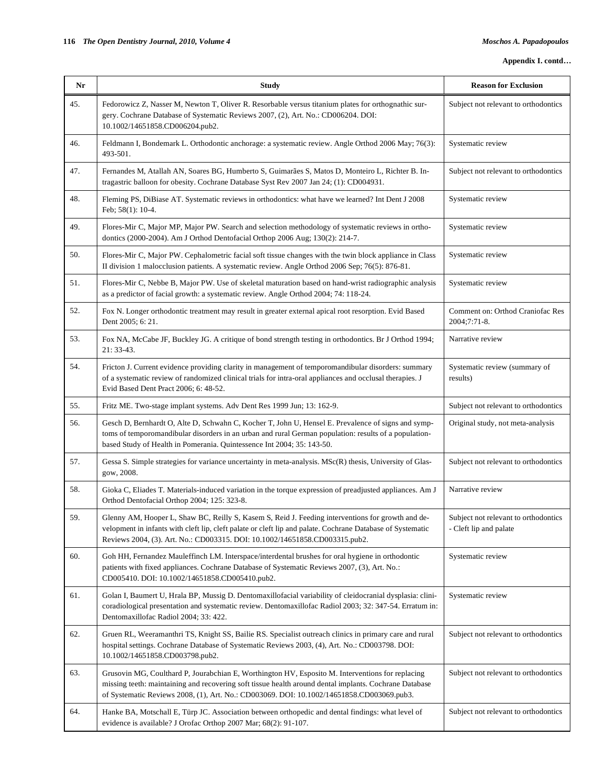| Nr  | <b>Study</b>                                                                                                                                                                                                                                                                                            | <b>Reason for Exclusion</b>                                    |
|-----|---------------------------------------------------------------------------------------------------------------------------------------------------------------------------------------------------------------------------------------------------------------------------------------------------------|----------------------------------------------------------------|
| 45. | Fedorowicz Z, Nasser M, Newton T, Oliver R. Resorbable versus titanium plates for orthognathic sur-<br>gery. Cochrane Database of Systematic Reviews 2007, (2), Art. No.: CD006204. DOI:<br>10.1002/14651858.CD006204.pub2.                                                                             | Subject not relevant to orthodontics                           |
| 46. | Feldmann I, Bondemark L. Orthodontic anchorage: a systematic review. Angle Orthod 2006 May; 76(3):<br>493-501.                                                                                                                                                                                          | Systematic review                                              |
| 47. | Fernandes M, Atallah AN, Soares BG, Humberto S, Guimarães S, Matos D, Monteiro L, Richter B. In-<br>tragastric balloon for obesity. Cochrane Database Syst Rev 2007 Jan 24; (1): CD004931.                                                                                                              | Subject not relevant to orthodontics                           |
| 48. | Fleming PS, DiBiase AT. Systematic reviews in orthodontics: what have we learned? Int Dent J 2008<br>Feb; 58(1): 10-4.                                                                                                                                                                                  | Systematic review                                              |
| 49. | Flores-Mir C, Major MP, Major PW. Search and selection methodology of systematic reviews in ortho-<br>dontics (2000-2004). Am J Orthod Dentofacial Orthop 2006 Aug; 130(2): 214-7.                                                                                                                      | Systematic review                                              |
| 50. | Flores-Mir C, Major PW. Cephalometric facial soft tissue changes with the twin block appliance in Class<br>II division 1 malocclusion patients. A systematic review. Angle Orthod 2006 Sep; 76(5): 876-81.                                                                                              | Systematic review                                              |
| 51. | Flores-Mir C, Nebbe B, Major PW. Use of skeletal maturation based on hand-wrist radiographic analysis<br>as a predictor of facial growth: a systematic review. Angle Orthod 2004; 74: 118-24.                                                                                                           | Systematic review                                              |
| 52. | Fox N. Longer orthodontic treatment may result in greater external apical root resorption. Evid Based<br>Dent 2005; 6: 21.                                                                                                                                                                              | Comment on: Orthod Craniofac Res<br>2004;7:71-8.               |
| 53. | Fox NA, McCabe JF, Buckley JG. A critique of bond strength testing in orthodontics. Br J Orthod 1994;<br>$21:33-43.$                                                                                                                                                                                    | Narrative review                                               |
| 54. | Fricton J. Current evidence providing clarity in management of temporomandibular disorders: summary<br>of a systematic review of randomized clinical trials for intra-oral appliances and occlusal therapies. J<br>Evid Based Dent Pract 2006; 6: 48-52.                                                | Systematic review (summary of<br>results)                      |
| 55. | Fritz ME. Two-stage implant systems. Adv Dent Res 1999 Jun; 13: 162-9.                                                                                                                                                                                                                                  | Subject not relevant to orthodontics                           |
| 56. | Gesch D, Bernhardt O, Alte D, Schwahn C, Kocher T, John U, Hensel E. Prevalence of signs and symp-<br>toms of temporomandibular disorders in an urban and rural German population: results of a population-<br>based Study of Health in Pomerania. Quintessence Int 2004; 35: 143-50.                   | Original study, not meta-analysis                              |
| 57. | Gessa S. Simple strategies for variance uncertainty in meta-analysis. MSc(R) thesis, University of Glas-<br>gow, 2008.                                                                                                                                                                                  | Subject not relevant to orthodontics                           |
| 58. | Gioka C, Eliades T. Materials-induced variation in the torque expression of preadjusted appliances. Am J<br>Orthod Dentofacial Orthop 2004; 125: 323-8.                                                                                                                                                 | Narrative review                                               |
| 59. | Glenny AM, Hooper L, Shaw BC, Reilly S, Kasem S, Reid J. Feeding interventions for growth and de-<br>velopment in infants with cleft lip, cleft palate or cleft lip and palate. Cochrane Database of Systematic<br>Reviews 2004, (3). Art. No.: CD003315. DOI: 10.1002/14651858.CD003315.pub2.          | Subject not relevant to orthodontics<br>- Cleft lip and palate |
| 60. | Goh HH, Fernandez Mauleffinch LM. Interspace/interdental brushes for oral hygiene in orthodontic<br>patients with fixed appliances. Cochrane Database of Systematic Reviews 2007, (3), Art. No.:<br>CD005410. DOI: 10.1002/14651858.CD005410.pub2.                                                      | Systematic review                                              |
| 61. | Golan I, Baumert U, Hrala BP, Mussig D. Dentomaxillofacial variability of cleidocranial dysplasia: clini-<br>coradiological presentation and systematic review. Dentomaxillofac Radiol 2003; 32: 347-54. Erratum in:<br>Dentomaxillofac Radiol 2004; 33: 422.                                           | Systematic review                                              |
| 62. | Gruen RL, Weeramanthri TS, Knight SS, Bailie RS. Specialist outreach clinics in primary care and rural<br>hospital settings. Cochrane Database of Systematic Reviews 2003, (4), Art. No.: CD003798. DOI:<br>10.1002/14651858.CD003798.pub2.                                                             | Subject not relevant to orthodontics                           |
| 63. | Grusovin MG, Coulthard P, Jourabchian E, Worthington HV, Esposito M. Interventions for replacing<br>missing teeth: maintaining and recovering soft tissue health around dental implants. Cochrane Database<br>of Systematic Reviews 2008, (1), Art. No.: CD003069. DOI: 10.1002/14651858.CD003069.pub3. | Subject not relevant to orthodontics                           |
| 64. | Hanke BA, Motschall E, Türp JC. Association between orthopedic and dental findings: what level of<br>evidence is available? J Orofac Orthop 2007 Mar; 68(2): 91-107.                                                                                                                                    | Subject not relevant to orthodontics                           |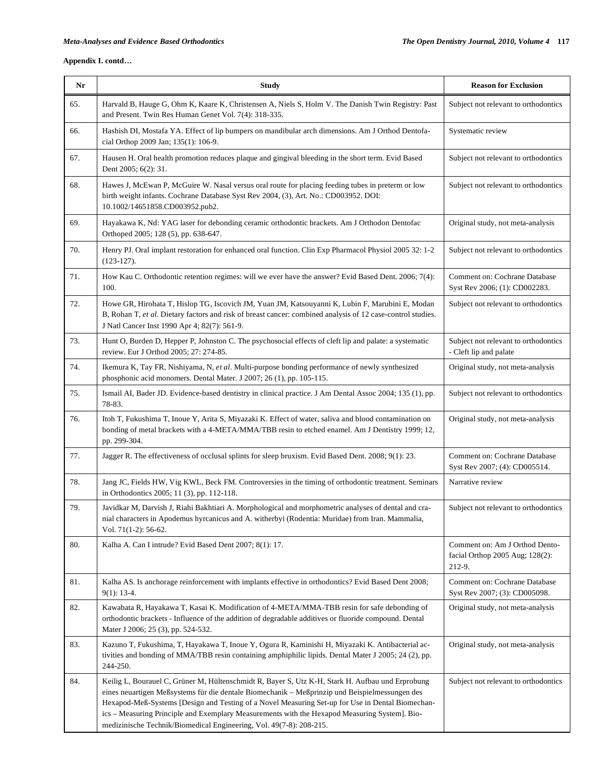| Nr  | <b>Study</b>                                                                                                                                                                                                                                                                                                                                                                                                                                                                   | <b>Reason for Exclusion</b>                                                 |
|-----|--------------------------------------------------------------------------------------------------------------------------------------------------------------------------------------------------------------------------------------------------------------------------------------------------------------------------------------------------------------------------------------------------------------------------------------------------------------------------------|-----------------------------------------------------------------------------|
| 65. | Harvald B, Hauge G, Ohm K, Kaare K, Christensen A, Niels S, Holm V. The Danish Twin Registry: Past<br>and Present. Twin Res Human Genet Vol. 7(4): 318-335.                                                                                                                                                                                                                                                                                                                    | Subject not relevant to orthodontics                                        |
| 66. | Hashish DI, Mostafa YA. Effect of lip bumpers on mandibular arch dimensions. Am J Orthod Dentofa-<br>cial Orthop 2009 Jan; 135(1): 106-9.                                                                                                                                                                                                                                                                                                                                      | Systematic review                                                           |
| 67. | Hausen H. Oral health promotion reduces plaque and gingival bleeding in the short term. Evid Based<br>Dent 2005; 6(2): 31.                                                                                                                                                                                                                                                                                                                                                     | Subject not relevant to orthodontics                                        |
| 68. | Hawes J, McEwan P, McGuire W. Nasal versus oral route for placing feeding tubes in preterm or low<br>birth weight infants. Cochrane Database Syst Rev 2004, (3), Art. No.: CD003952. DOI:<br>10.1002/14651858.CD003952.pub2.                                                                                                                                                                                                                                                   | Subject not relevant to orthodontics                                        |
| 69. | Hayakawa K, Nd: YAG laser for debonding ceramic orthodontic brackets. Am J Orthodon Dentofac<br>Orthoped 2005; 128 (5), pp. 638-647.                                                                                                                                                                                                                                                                                                                                           | Original study, not meta-analysis                                           |
| 70. | Henry PJ. Oral implant restoration for enhanced oral function. Clin Exp Pharmacol Physiol 2005 32: 1-2<br>$(123-127).$                                                                                                                                                                                                                                                                                                                                                         | Subject not relevant to orthodontics                                        |
| 71. | How Kau C. Orthodontic retention regimes: will we ever have the answer? Evid Based Dent. 2006; 7(4):<br>100.                                                                                                                                                                                                                                                                                                                                                                   | Comment on: Cochrane Database<br>Syst Rev 2006; (1): CD002283.              |
| 72. | Howe GR, Hirohata T, Hislop TG, Iscovich JM, Yuan JM, Katsouyanni K, Lubin F, Marubini E, Modan<br>B, Rohan T, et al. Dietary factors and risk of breast cancer: combined analysis of 12 case-control studies.<br>J Natl Cancer Inst 1990 Apr 4; 82(7): 561-9.                                                                                                                                                                                                                 | Subject not relevant to orthodontics                                        |
| 73. | Hunt O, Burden D, Hepper P, Johnston C. The psychosocial effects of cleft lip and palate: a systematic<br>review. Eur J Orthod 2005; 27: 274-85.                                                                                                                                                                                                                                                                                                                               | Subject not relevant to orthodontics<br>- Cleft lip and palate              |
| 74. | Ikemura K, Tay FR, Nishiyama, N, et al. Multi-purpose bonding performance of newly synthesized<br>phosphonic acid monomers. Dental Mater. J 2007; 26 (1), pp. 105-115.                                                                                                                                                                                                                                                                                                         | Original study, not meta-analysis                                           |
| 75. | Ismail AI, Bader JD. Evidence-based dentistry in clinical practice. J Am Dental Assoc 2004; 135 (1), pp.<br>78-83.                                                                                                                                                                                                                                                                                                                                                             | Subject not relevant to orthodontics                                        |
| 76. | Itoh T, Fukushima T, Inoue Y, Arita S, Miyazaki K. Effect of water, saliva and blood contamination on<br>bonding of metal brackets with a 4-META/MMA/TBB resin to etched enamel. Am J Dentistry 1999; 12,<br>pp. 299-304.                                                                                                                                                                                                                                                      | Original study, not meta-analysis                                           |
| 77. | Jagger R. The effectiveness of occlusal splints for sleep bruxism. Evid Based Dent. 2008; 9(1): 23.                                                                                                                                                                                                                                                                                                                                                                            | Comment on: Cochrane Database<br>Syst Rev 2007; (4): CD005514.              |
| 78. | Jang JC, Fields HW, Vig KWL, Beck FM. Controversies in the timing of orthodontic treatment. Seminars<br>in Orthodontics 2005; 11 (3), pp. 112-118.                                                                                                                                                                                                                                                                                                                             | Narrative review                                                            |
| 79. | Javidkar M, Darvish J, Riahi Bakhtiari A. Morphological and morphometric analyses of dental and cra-<br>nial characters in Apodemus hyrcanicus and A. witherbyi (Rodentia: Muridae) from Iran. Mammalia,<br>Vol. $71(1-2)$ : 56-62.                                                                                                                                                                                                                                            | Subject not relevant to orthodontics                                        |
| 80. | Kalha A. Can I intrude? Evid Based Dent 2007; 8(1): 17.                                                                                                                                                                                                                                                                                                                                                                                                                        | Comment on: Am J Orthod Dento-<br>facial Orthop 2005 Aug; 128(2):<br>212-9. |
| 81. | Kalha AS. Is anchorage reinforcement with implants effective in orthodontics? Evid Based Dent 2008;<br>$9(1): 13-4.$                                                                                                                                                                                                                                                                                                                                                           | Comment on: Cochrane Database<br>Syst Rev 2007; (3): CD005098.              |
| 82. | Kawabata R, Hayakawa T, Kasai K. Modification of 4-META/MMA-TBB resin for safe debonding of<br>orthodontic brackets - Influence of the addition of degradable additives or fluoride compound. Dental<br>Mater J 2006; 25 (3), pp. 524-532.                                                                                                                                                                                                                                     | Original study, not meta-analysis                                           |
| 83. | Kazuno T, Fukushima, T, Hayakawa T, Inoue Y, Ogura R, Kaminishi H, Miyazaki K. Antibacterial ac-<br>tivities and bonding of MMA/TBB resin containing amphiphilic lipids. Dental Mater J 2005; 24 (2), pp.<br>244-250.                                                                                                                                                                                                                                                          | Original study, not meta-analysis                                           |
| 84. | Keilig L, Bourauel C, Grüner M, Hültenschmidt R, Bayer S, Utz K-H, Stark H. Aufbau und Erprobung<br>eines neuartigen Meßsystems für die dentale Biomechanik - Meßprinzip und Beispielmessungen des<br>Hexapod-Meß-Systems [Design and Testing of a Novel Measuring Set-up for Use in Dental Biomechan-<br>ics - Measuring Principle and Exemplary Measurements with the Hexapod Measuring System]. Bio-<br>medizinische Technik/Biomedical Engineering, Vol. 49(7-8): 208-215. | Subject not relevant to orthodontics                                        |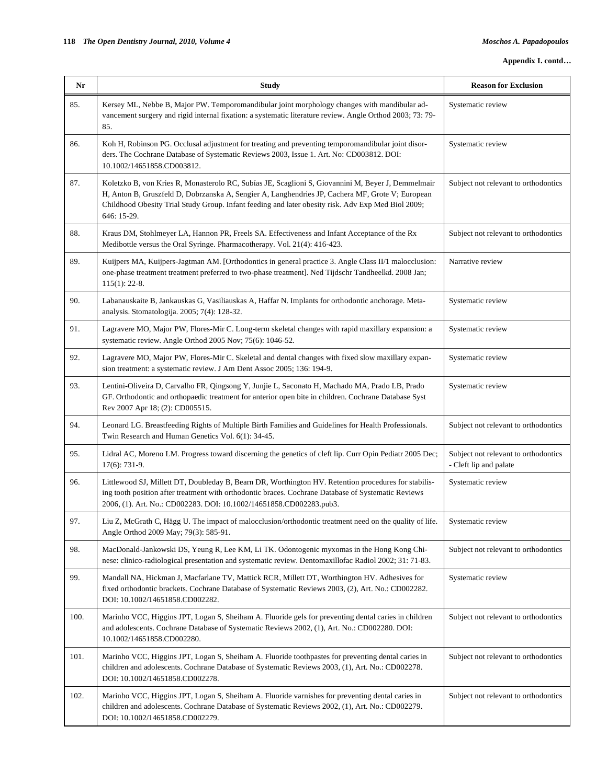| Nr   | <b>Study</b>                                                                                                                                                                                                                                                                                                                | <b>Reason for Exclusion</b>                                    |
|------|-----------------------------------------------------------------------------------------------------------------------------------------------------------------------------------------------------------------------------------------------------------------------------------------------------------------------------|----------------------------------------------------------------|
| 85.  | Kersey ML, Nebbe B, Major PW. Temporomandibular joint morphology changes with mandibular ad-<br>vancement surgery and rigid internal fixation: a systematic literature review. Angle Orthod 2003; 73: 79-<br>85.                                                                                                            | Systematic review                                              |
| 86.  | Koh H, Robinson PG. Occlusal adjustment for treating and preventing temporomandibular joint disor-<br>ders. The Cochrane Database of Systematic Reviews 2003, Issue 1. Art. No: CD003812. DOI:<br>10.1002/14651858.CD003812.                                                                                                | Systematic review                                              |
| 87.  | Koletzko B, von Kries R, Monasterolo RC, Subías JE, Scaglioni S, Giovannini M, Beyer J, Demmelmair<br>H, Anton B, Gruszfeld D, Dobrzanska A, Sengier A, Langhendries JP, Cachera MF, Grote V; European<br>Childhood Obesity Trial Study Group. Infant feeding and later obesity risk. Adv Exp Med Biol 2009;<br>646: 15-29. | Subject not relevant to orthodontics                           |
| 88.  | Kraus DM, Stohlmeyer LA, Hannon PR, Freels SA. Effectiveness and Infant Acceptance of the Rx<br>Medibottle versus the Oral Syringe. Pharmacotherapy. Vol. 21(4): 416-423.                                                                                                                                                   | Subject not relevant to orthodontics                           |
| 89.  | Kuijpers MA, Kuijpers-Jagtman AM. [Orthodontics in general practice 3. Angle Class II/1 malocclusion:<br>one-phase treatment treatment preferred to two-phase treatment]. Ned Tijdschr Tandheelkd. 2008 Jan;<br>$115(1): 22-8.$                                                                                             | Narrative review                                               |
| 90.  | Labanauskaite B, Jankauskas G, Vasiliauskas A, Haffar N. Implants for orthodontic anchorage. Meta-<br>analysis. Stomatologija. 2005; 7(4): 128-32.                                                                                                                                                                          | Systematic review                                              |
| 91.  | Lagravere MO, Major PW, Flores-Mir C. Long-term skeletal changes with rapid maxillary expansion: a<br>systematic review. Angle Orthod 2005 Nov; 75(6): 1046-52.                                                                                                                                                             | Systematic review                                              |
| 92.  | Lagravere MO, Major PW, Flores-Mir C. Skeletal and dental changes with fixed slow maxillary expan-<br>sion treatment: a systematic review. J Am Dent Assoc 2005; 136: 194-9.                                                                                                                                                | Systematic review                                              |
| 93.  | Lentini-Oliveira D, Carvalho FR, Qingsong Y, Junjie L, Saconato H, Machado MA, Prado LB, Prado<br>GF. Orthodontic and orthopaedic treatment for anterior open bite in children. Cochrane Database Syst<br>Rev 2007 Apr 18; (2): CD005515.                                                                                   | Systematic review                                              |
| 94.  | Leonard LG. Breastfeeding Rights of Multiple Birth Families and Guidelines for Health Professionals.<br>Twin Research and Human Genetics Vol. 6(1): 34-45.                                                                                                                                                                  | Subject not relevant to orthodontics                           |
| 95.  | Lidral AC, Moreno LM. Progress toward discerning the genetics of cleft lip. Curr Opin Pediatr 2005 Dec;<br>$17(6)$ : 731-9.                                                                                                                                                                                                 | Subject not relevant to orthodontics<br>- Cleft lip and palate |
| 96.  | Littlewood SJ, Millett DT, Doubleday B, Bearn DR, Worthington HV. Retention procedures for stabilis-<br>ing tooth position after treatment with orthodontic braces. Cochrane Database of Systematic Reviews<br>2006, (1). Art. No.: CD002283. DOI: 10.1002/14651858.CD002283.pub3.                                          | Systematic review                                              |
| 97.  | Liu Z, McGrath C, Hägg U. The impact of malocclusion/orthodontic treatment need on the quality of life.<br>Angle Orthod 2009 May; 79(3): 585-91.                                                                                                                                                                            | Systematic review                                              |
| 98.  | MacDonald-Jankowski DS, Yeung R, Lee KM, Li TK. Odontogenic myxomas in the Hong Kong Chi-<br>nese: clinico-radiological presentation and systematic review. Dentomaxillofac Radiol 2002; 31: 71-83.                                                                                                                         | Subject not relevant to orthodontics                           |
| 99.  | Mandall NA, Hickman J, Macfarlane TV, Mattick RCR, Millett DT, Worthington HV. Adhesives for<br>fixed orthodontic brackets. Cochrane Database of Systematic Reviews 2003, (2), Art. No.: CD002282.<br>DOI: 10.1002/14651858.CD002282.                                                                                       | Systematic review                                              |
| 100. | Marinho VCC, Higgins JPT, Logan S, Sheiham A. Fluoride gels for preventing dental caries in children<br>and adolescents. Cochrane Database of Systematic Reviews 2002, (1), Art. No.: CD002280. DOI:<br>10.1002/14651858.CD002280.                                                                                          | Subject not relevant to orthodontics                           |
| 101. | Marinho VCC, Higgins JPT, Logan S, Sheiham A. Fluoride toothpastes for preventing dental caries in<br>children and adolescents. Cochrane Database of Systematic Reviews 2003, (1), Art. No.: CD002278.<br>DOI: 10.1002/14651858.CD002278.                                                                                   | Subject not relevant to orthodontics                           |
| 102. | Marinho VCC, Higgins JPT, Logan S, Sheiham A. Fluoride varnishes for preventing dental caries in<br>children and adolescents. Cochrane Database of Systematic Reviews 2002, (1), Art. No.: CD002279.<br>DOI: 10.1002/14651858.CD002279.                                                                                     | Subject not relevant to orthodontics                           |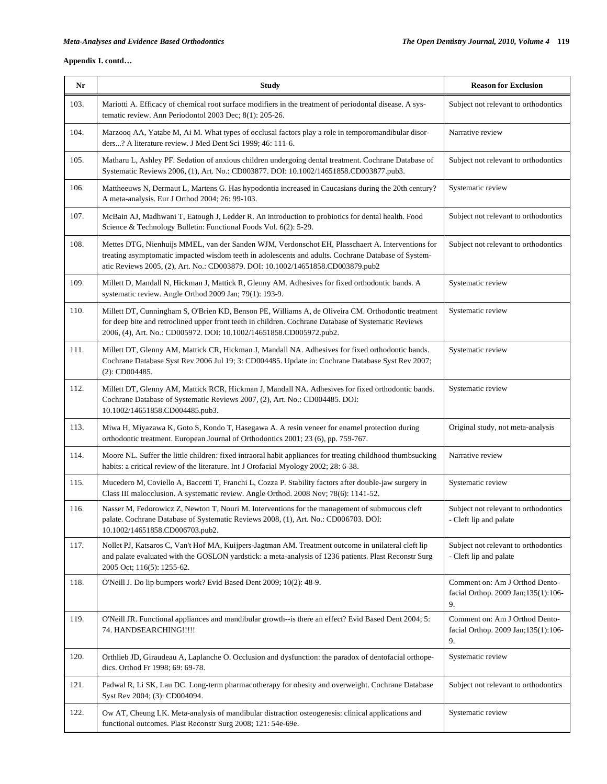| Nr   | <b>Study</b>                                                                                                                                                                                                                                                                               | <b>Reason for Exclusion</b>                                                  |
|------|--------------------------------------------------------------------------------------------------------------------------------------------------------------------------------------------------------------------------------------------------------------------------------------------|------------------------------------------------------------------------------|
| 103. | Mariotti A. Efficacy of chemical root surface modifiers in the treatment of periodontal disease. A sys-<br>tematic review. Ann Periodontol 2003 Dec; 8(1): 205-26.                                                                                                                         | Subject not relevant to orthodontics                                         |
| 104. | Marzooq AA, Yatabe M, Ai M. What types of occlusal factors play a role in temporomandibular disor-<br>ders? A literature review. J Med Dent Sci 1999; 46: 111-6.                                                                                                                           | Narrative review                                                             |
| 105. | Matharu L, Ashley PF. Sedation of anxious children undergoing dental treatment. Cochrane Database of<br>Systematic Reviews 2006, (1), Art. No.: CD003877. DOI: 10.1002/14651858.CD003877.pub3.                                                                                             | Subject not relevant to orthodontics                                         |
| 106. | Mattheeuws N, Dermaut L, Martens G. Has hypodontia increased in Caucasians during the 20th century?<br>A meta-analysis. Eur J Orthod 2004; 26: 99-103.                                                                                                                                     | Systematic review                                                            |
| 107. | McBain AJ, Madhwani T, Eatough J, Ledder R. An introduction to probiotics for dental health. Food<br>Science & Technology Bulletin: Functional Foods Vol. 6(2): 5-29.                                                                                                                      | Subject not relevant to orthodontics                                         |
| 108. | Mettes DTG, Nienhuijs MMEL, van der Sanden WJM, Verdonschot EH, Plasschaert A. Interventions for<br>treating asymptomatic impacted wisdom teeth in adolescents and adults. Cochrane Database of System-<br>atic Reviews 2005, (2), Art. No.: CD003879. DOI: 10.1002/14651858.CD003879.pub2 | Subject not relevant to orthodontics                                         |
| 109. | Millett D, Mandall N, Hickman J, Mattick R, Glenny AM. Adhesives for fixed orthodontic bands. A<br>systematic review. Angle Orthod 2009 Jan; 79(1): 193-9.                                                                                                                                 | Systematic review                                                            |
| 110. | Millett DT, Cunningham S, O'Brien KD, Benson PE, Williams A, de Oliveira CM. Orthodontic treatment<br>for deep bite and retroclined upper front teeth in children. Cochrane Database of Systematic Reviews<br>2006, (4), Art. No.: CD005972. DOI: 10.1002/14651858.CD005972.pub2.          | Systematic review                                                            |
| 111. | Millett DT, Glenny AM, Mattick CR, Hickman J, Mandall NA. Adhesives for fixed orthodontic bands.<br>Cochrane Database Syst Rev 2006 Jul 19; 3: CD004485. Update in: Cochrane Database Syst Rev 2007;<br>$(2)$ : CD004485.                                                                  | Systematic review                                                            |
| 112. | Millett DT, Glenny AM, Mattick RCR, Hickman J, Mandall NA. Adhesives for fixed orthodontic bands.<br>Cochrane Database of Systematic Reviews 2007, (2), Art. No.: CD004485. DOI:<br>10.1002/14651858.CD004485.pub3.                                                                        | Systematic review                                                            |
| 113. | Miwa H, Miyazawa K, Goto S, Kondo T, Hasegawa A. A resin veneer for enamel protection during<br>orthodontic treatment. European Journal of Orthodontics 2001; 23 (6), pp. 759-767.                                                                                                         | Original study, not meta-analysis                                            |
| 114. | Moore NL. Suffer the little children: fixed intraoral habit appliances for treating childhood thumbsucking<br>habits: a critical review of the literature. Int J Orofacial Myology 2002; 28: 6-38.                                                                                         | Narrative review                                                             |
| 115. | Mucedero M, Coviello A, Baccetti T, Franchi L, Cozza P. Stability factors after double-jaw surgery in<br>Class III malocclusion. A systematic review. Angle Orthod. 2008 Nov; 78(6): 1141-52.                                                                                              | Systematic review                                                            |
| 116. | Nasser M, Fedorowicz Z, Newton T, Nouri M. Interventions for the management of submucous cleft<br>palate. Cochrane Database of Systematic Reviews 2008, (1), Art. No.: CD006703. DOI:<br>10.1002/14651858.CD006703.pub2.                                                                   | Subject not relevant to orthodontics<br>- Cleft lip and palate               |
| 117. | Nollet PJ, Katsaros C, Van't Hof MA, Kuijpers-Jagtman AM. Treatment outcome in unilateral cleft lip<br>and palate evaluated with the GOSLON yardstick: a meta-analysis of 1236 patients. Plast Reconstr Surg<br>2005 Oct; 116(5): 1255-62.                                                 | Subject not relevant to orthodontics<br>- Cleft lip and palate               |
| 118. | O'Neill J. Do lip bumpers work? Evid Based Dent 2009; 10(2): 48-9.                                                                                                                                                                                                                         | Comment on: Am J Orthod Dento-<br>facial Orthop. 2009 Jan; 135(1):106-<br>9. |
| 119. | O'Neill JR. Functional appliances and mandibular growth--is there an effect? Evid Based Dent 2004; 5:<br>74. HANDSEARCHING!!!!!                                                                                                                                                            | Comment on: Am J Orthod Dento-<br>facial Orthop. 2009 Jan;135(1):106-<br>9.  |
| 120. | Orthlieb JD, Giraudeau A, Laplanche O. Occlusion and dysfunction: the paradox of dentofacial orthope-<br>dics. Orthod Fr 1998; 69: 69-78.                                                                                                                                                  | Systematic review                                                            |
| 121. | Padwal R, Li SK, Lau DC. Long-term pharmacotherapy for obesity and overweight. Cochrane Database<br>Syst Rev 2004; (3): CD004094.                                                                                                                                                          | Subject not relevant to orthodontics                                         |
| 122. | Ow AT, Cheung LK. Meta-analysis of mandibular distraction osteogenesis: clinical applications and<br>functional outcomes. Plast Reconstr Surg 2008; 121: 54e-69e.                                                                                                                          | Systematic review                                                            |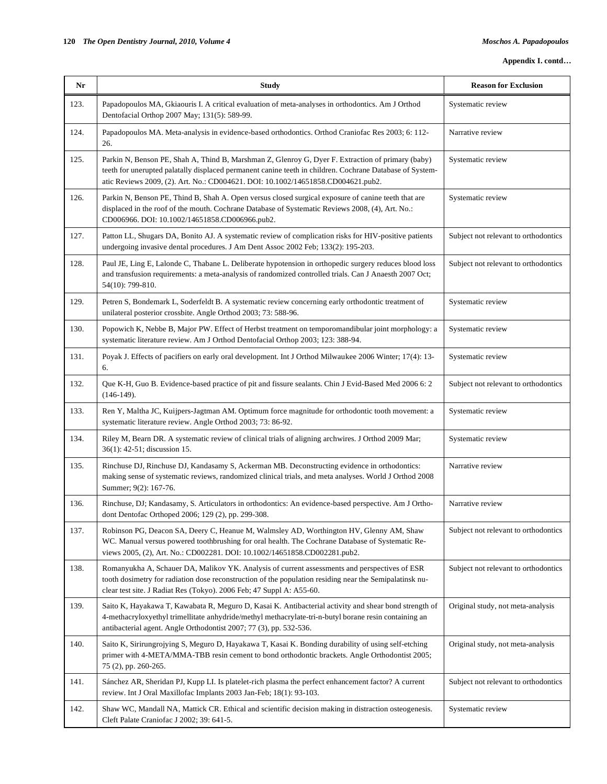| Nr   | <b>Study</b>                                                                                                                                                                                                                                                                                      | <b>Reason for Exclusion</b>          |
|------|---------------------------------------------------------------------------------------------------------------------------------------------------------------------------------------------------------------------------------------------------------------------------------------------------|--------------------------------------|
| 123. | Papadopoulos MA, Gkiaouris I. A critical evaluation of meta-analyses in orthodontics. Am J Orthod<br>Dentofacial Orthop 2007 May; 131(5): 589-99.                                                                                                                                                 | Systematic review                    |
| 124. | Papadopoulos MA. Meta-analysis in evidence-based orthodontics. Orthod Craniofac Res 2003; 6: 112-<br>26.                                                                                                                                                                                          | Narrative review                     |
| 125. | Parkin N, Benson PE, Shah A, Thind B, Marshman Z, Glenroy G, Dyer F. Extraction of primary (baby)<br>teeth for unerupted palatally displaced permanent canine teeth in children. Cochrane Database of System-<br>atic Reviews 2009, (2). Art. No.: CD004621. DOI: 10.1002/14651858.CD004621.pub2. | Systematic review                    |
| 126. | Parkin N, Benson PE, Thind B, Shah A. Open versus closed surgical exposure of canine teeth that are<br>displaced in the roof of the mouth. Cochrane Database of Systematic Reviews 2008, (4), Art. No.:<br>CD006966. DOI: 10.1002/14651858.CD006966.pub2.                                         | Systematic review                    |
| 127. | Patton LL, Shugars DA, Bonito AJ. A systematic review of complication risks for HIV-positive patients<br>undergoing invasive dental procedures. J Am Dent Assoc 2002 Feb; 133(2): 195-203.                                                                                                        | Subject not relevant to orthodontics |
| 128. | Paul JE, Ling E, Lalonde C, Thabane L. Deliberate hypotension in orthopedic surgery reduces blood loss<br>and transfusion requirements: a meta-analysis of randomized controlled trials. Can J Anaesth 2007 Oct;<br>54(10): 799-810.                                                              | Subject not relevant to orthodontics |
| 129. | Petren S, Bondemark L, Soderfeldt B. A systematic review concerning early orthodontic treatment of<br>unilateral posterior crossbite. Angle Orthod 2003; 73: 588-96.                                                                                                                              | Systematic review                    |
| 130. | Popowich K, Nebbe B, Major PW. Effect of Herbst treatment on temporomandibular joint morphology: a<br>systematic literature review. Am J Orthod Dentofacial Orthop 2003; 123: 388-94.                                                                                                             | Systematic review                    |
| 131. | Poyak J. Effects of pacifiers on early oral development. Int J Orthod Milwaukee 2006 Winter; 17(4): 13-<br>6.                                                                                                                                                                                     | Systematic review                    |
| 132. | Que K-H, Guo B. Evidence-based practice of pit and fissure sealants. Chin J Evid-Based Med 2006 6: 2<br>$(146-149).$                                                                                                                                                                              | Subject not relevant to orthodontics |
| 133. | Ren Y, Maltha JC, Kuijpers-Jagtman AM. Optimum force magnitude for orthodontic tooth movement: a<br>systematic literature review. Angle Orthod 2003; 73: 86-92.                                                                                                                                   | Systematic review                    |
| 134. | Riley M, Bearn DR. A systematic review of clinical trials of aligning archwires. J Orthod 2009 Mar;<br>36(1): 42-51; discussion 15.                                                                                                                                                               | Systematic review                    |
| 135. | Rinchuse DJ, Rinchuse DJ, Kandasamy S, Ackerman MB. Deconstructing evidence in orthodontics:<br>making sense of systematic reviews, randomized clinical trials, and meta analyses. World J Orthod 2008<br>Summer; 9(2): 167-76.                                                                   | Narrative review                     |
| 136. | Rinchuse, DJ; Kandasamy, S. Articulators in orthodontics: An evidence-based perspective. Am J Ortho-<br>dont Dentofac Orthoped 2006; 129 (2), pp. 299-308.                                                                                                                                        | Narrative review                     |
| 137. | Robinson PG, Deacon SA, Deery C, Heanue M, Walmsley AD, Worthington HV, Glenny AM, Shaw<br>WC. Manual versus powered toothbrushing for oral health. The Cochrane Database of Systematic Re-<br>views 2005, (2), Art. No.: CD002281. DOI: 10.1002/14651858.CD002281.pub2.                          | Subject not relevant to orthodontics |
| 138. | Romanyukha A, Schauer DA, Malikov YK. Analysis of current assessments and perspectives of ESR<br>tooth dosimetry for radiation dose reconstruction of the population residing near the Semipalatinsk nu-<br>clear test site. J Radiat Res (Tokyo). 2006 Feb; 47 Suppl A: A55-60.                  | Subject not relevant to orthodontics |
| 139. | Saito K, Hayakawa T, Kawabata R, Meguro D, Kasai K. Antibacterial activity and shear bond strength of<br>4-methacryloxyethyl trimellitate anhydride/methyl methacrylate-tri-n-butyl borane resin containing an<br>antibacterial agent. Angle Orthodontist 2007; 77 (3), pp. 532-536.              | Original study, not meta-analysis    |
| 140. | Saito K, Sirirungrojying S, Meguro D, Hayakawa T, Kasai K. Bonding durability of using self-etching<br>primer with 4-META/MMA-TBB resin cement to bond orthodontic brackets. Angle Orthodontist 2005;<br>75 (2), pp. 260-265.                                                                     | Original study, not meta-analysis    |
| 141. | Sánchez AR, Sheridan PJ, Kupp LI. Is platelet-rich plasma the perfect enhancement factor? A current<br>review. Int J Oral Maxillofac Implants 2003 Jan-Feb; 18(1): 93-103.                                                                                                                        | Subject not relevant to orthodontics |
| 142. | Shaw WC, Mandall NA, Mattick CR. Ethical and scientific decision making in distraction osteogenesis.<br>Cleft Palate Craniofac J 2002; 39: 641-5.                                                                                                                                                 | Systematic review                    |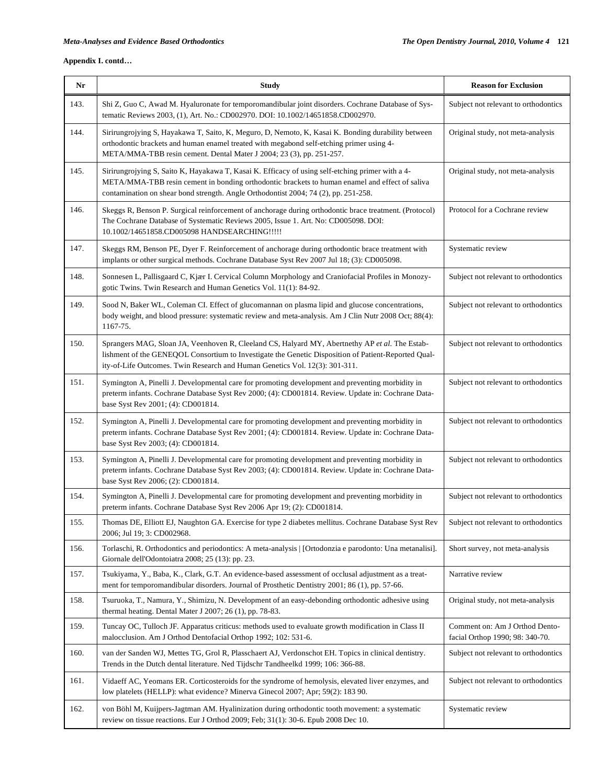| Nr   | <b>Study</b>                                                                                                                                                                                                                                                                              | <b>Reason for Exclusion</b>                                       |
|------|-------------------------------------------------------------------------------------------------------------------------------------------------------------------------------------------------------------------------------------------------------------------------------------------|-------------------------------------------------------------------|
| 143. | Shi Z, Guo C, Awad M. Hyaluronate for temporomandibular joint disorders. Cochrane Database of Sys-<br>tematic Reviews 2003, (1), Art. No.: CD002970. DOI: 10.1002/14651858.CD002970.                                                                                                      | Subject not relevant to orthodontics                              |
| 144. | Sirirungrojying S, Hayakawa T, Saito, K, Meguro, D, Nemoto, K, Kasai K. Bonding durability between<br>orthodontic brackets and human enamel treated with megabond self-etching primer using 4-<br>META/MMA-TBB resin cement. Dental Mater J 2004; 23 (3), pp. 251-257.                    | Original study, not meta-analysis                                 |
| 145. | Sirirungrojying S, Saito K, Hayakawa T, Kasai K. Efficacy of using self-etching primer with a 4-<br>META/MMA-TBB resin cement in bonding orthodontic brackets to human enamel and effect of saliva<br>contamination on shear bond strength. Angle Orthodontist 2004; 74 (2), pp. 251-258. | Original study, not meta-analysis                                 |
| 146. | Skeggs R, Benson P. Surgical reinforcement of anchorage during orthodontic brace treatment. (Protocol)<br>The Cochrane Database of Systematic Reviews 2005, Issue 1. Art. No: CD005098. DOI:<br>10.1002/14651858.CD005098 HANDSEARCHING!!!!!                                              | Protocol for a Cochrane review                                    |
| 147. | Skeggs RM, Benson PE, Dyer F. Reinforcement of anchorage during orthodontic brace treatment with<br>implants or other surgical methods. Cochrane Database Syst Rev 2007 Jul 18; (3): CD005098.                                                                                            | Systematic review                                                 |
| 148. | Sonnesen L, Pallisgaard C, Kjær I. Cervical Column Morphology and Craniofacial Profiles in Monozy-<br>gotic Twins. Twin Research and Human Genetics Vol. 11(1): 84-92.                                                                                                                    | Subject not relevant to orthodontics                              |
| 149. | Sood N, Baker WL, Coleman CI. Effect of glucomannan on plasma lipid and glucose concentrations,<br>body weight, and blood pressure: systematic review and meta-analysis. Am J Clin Nutr 2008 Oct; 88(4):<br>1167-75.                                                                      | Subject not relevant to orthodontics                              |
| 150. | Sprangers MAG, Sloan JA, Veenhoven R, Cleeland CS, Halyard MY, Abertnethy AP et al. The Estab-<br>lishment of the GENEQOL Consortium to Investigate the Genetic Disposition of Patient-Reported Qual-<br>ity-of-Life Outcomes. Twin Research and Human Genetics Vol. 12(3): 301-311.      | Subject not relevant to orthodontics                              |
| 151. | Symington A, Pinelli J. Developmental care for promoting development and preventing morbidity in<br>preterm infants. Cochrane Database Syst Rev 2000; (4): CD001814. Review. Update in: Cochrane Data-<br>base Syst Rev 2001; (4): CD001814.                                              | Subject not relevant to orthodontics                              |
| 152. | Symington A, Pinelli J. Developmental care for promoting development and preventing morbidity in<br>preterm infants. Cochrane Database Syst Rev 2001; (4): CD001814. Review. Update in: Cochrane Data-<br>base Syst Rev 2003; (4): CD001814.                                              | Subject not relevant to orthodontics                              |
| 153. | Symington A, Pinelli J. Developmental care for promoting development and preventing morbidity in<br>preterm infants. Cochrane Database Syst Rev 2003; (4): CD001814. Review. Update in: Cochrane Data-<br>base Syst Rev 2006; (2): CD001814.                                              | Subject not relevant to orthodontics                              |
| 154. | Symington A, Pinelli J. Developmental care for promoting development and preventing morbidity in<br>preterm infants. Cochrane Database Syst Rev 2006 Apr 19; (2): CD001814.                                                                                                               | Subject not relevant to orthodontics                              |
| 155. | Thomas DE, Elliott EJ, Naughton GA. Exercise for type 2 diabetes mellitus. Cochrane Database Syst Rev<br>2006; Jul 19; 3: CD002968.                                                                                                                                                       | Subject not relevant to orthodontics                              |
| 156. | Torlaschi, R. Orthodontics and periodontics: A meta-analysis   [Ortodonzia e parodonto: Una metanalisi].<br>Giornale dell'Odontoiatra 2008; 25 (13): pp. 23.                                                                                                                              | Short survey, not meta-analysis                                   |
| 157. | Tsukiyama, Y., Baba, K., Clark, G.T. An evidence-based assessment of occlusal adjustment as a treat-<br>ment for temporomandibular disorders. Journal of Prosthetic Dentistry 2001; 86 (1), pp. 57-66.                                                                                    | Narrative review                                                  |
| 158. | Tsuruoka, T., Namura, Y., Shimizu, N. Development of an easy-debonding orthodontic adhesive using<br>thermal heating. Dental Mater J 2007; 26 (1), pp. 78-83.                                                                                                                             | Original study, not meta-analysis                                 |
| 159. | Tuncay OC, Tulloch JF. Apparatus criticus: methods used to evaluate growth modification in Class II<br>malocclusion. Am J Orthod Dentofacial Orthop 1992; 102: 531-6.                                                                                                                     | Comment on: Am J Orthod Dento-<br>facial Orthop 1990; 98: 340-70. |
| 160. | van der Sanden WJ, Mettes TG, Grol R, Plasschaert AJ, Verdonschot EH. Topics in clinical dentistry.<br>Trends in the Dutch dental literature. Ned Tijdschr Tandheelkd 1999; 106: 366-88.                                                                                                  | Subject not relevant to orthodontics                              |
| 161. | Vidaeff AC, Yeomans ER. Corticosteroids for the syndrome of hemolysis, elevated liver enzymes, and<br>low platelets (HELLP): what evidence? Minerva Ginecol 2007; Apr; 59(2): 183 90.                                                                                                     | Subject not relevant to orthodontics                              |
| 162. | von Böhl M, Kuijpers-Jagtman AM. Hyalinization during orthodontic tooth movement: a systematic<br>review on tissue reactions. Eur J Orthod 2009; Feb; 31(1): 30-6. Epub 2008 Dec 10.                                                                                                      | Systematic review                                                 |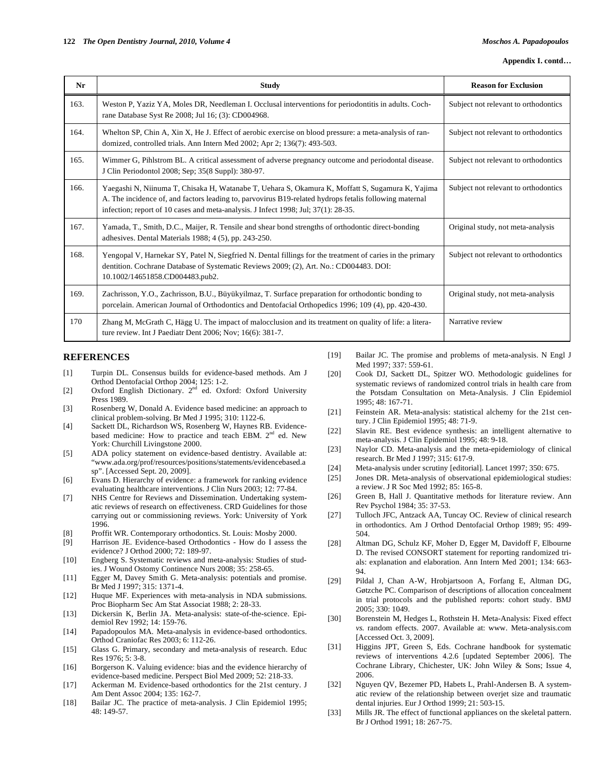| Nr   | <b>Study</b>                                                                                                                                                                                                                                                                                     | <b>Reason for Exclusion</b>          |
|------|--------------------------------------------------------------------------------------------------------------------------------------------------------------------------------------------------------------------------------------------------------------------------------------------------|--------------------------------------|
| 163. | Weston P, Yaziz YA, Moles DR, Needleman I. Occlusal interventions for periodontitis in adults. Coch-<br>rane Database Syst Re 2008; Jul 16; (3): CD004968.                                                                                                                                       | Subject not relevant to orthodontics |
| 164. | Whelton SP, Chin A, Xin X, He J. Effect of aerobic exercise on blood pressure: a meta-analysis of ran-<br>domized, controlled trials. Ann Intern Med 2002; Apr 2; 136(7): 493-503.                                                                                                               | Subject not relevant to orthodontics |
| 165. | Wimmer G, Pihlstrom BL. A critical assessment of adverse pregnancy outcome and periodontal disease.<br>J Clin Periodontol 2008; Sep; 35(8 Suppl): 380-97.                                                                                                                                        | Subject not relevant to orthodontics |
| 166. | Yaegashi N, Niinuma T, Chisaka H, Watanabe T, Uehara S, Okamura K, Moffatt S, Sugamura K, Yajima<br>A. The incidence of, and factors leading to, parvovirus B19-related hydrops fetalis following maternal<br>infection; report of 10 cases and meta-analysis. J Infect 1998; Jul; 37(1): 28-35. | Subject not relevant to orthodontics |
| 167. | Yamada, T., Smith, D.C., Maijer, R. Tensile and shear bond strengths of orthodontic direct-bonding<br>adhesives. Dental Materials 1988; 4 (5), pp. 243-250.                                                                                                                                      | Original study, not meta-analysis    |
| 168. | Yengopal V, Harnekar SY, Patel N, Siegfried N. Dental fillings for the treatment of caries in the primary<br>dentition. Cochrane Database of Systematic Reviews 2009; (2), Art. No.: CD004483. DOI:<br>10.1002/14651858.CD004483.pub2.                                                           | Subject not relevant to orthodontics |
| 169. | Zachrisson, Y.O., Zachrisson, B.U., Büyükyilmaz, T. Surface preparation for orthodontic bonding to<br>porcelain. American Journal of Orthodontics and Dentofacial Orthopedics 1996; 109 (4), pp. 420-430.                                                                                        | Original study, not meta-analysis    |
| 170  | Zhang M, McGrath C, Hägg U. The impact of malocclusion and its treatment on quality of life: a litera-<br>ture review. Int J Paediatr Dent 2006; Nov; 16(6): 381-7.                                                                                                                              | Narrative review                     |

#### **REFERENCES**

- [1] Turpin DL. Consensus builds for evidence-based methods. Am J Orthod Dentofacial Orthop 2004; 125: 1-2.
- [2] Oxford English Dictionary. 2<sup>nd</sup> ed. Oxford: Oxford University Press 1989.
- [3] Rosenberg W, Donald A. Evidence based medicine: an approach to clinical problem-solving. Br Med J 1995; 310: 1122-6.
- [4] Sackett DL, Richardson WS, Rosenberg W, Haynes RB. Evidencebased medicine: How to practice and teach EBM. 2<sup>nd</sup> ed. New York: Churchill Livingstone 2000.
- [5] ADA policy statement on evidence-based dentistry. Available at: "www.ada.org/prof/resources/positions/statements/evidencebased.a sp". [Accessed Sept. 20, 2009].
- [6] Evans D. Hierarchy of evidence: a framework for ranking evidence evaluating healthcare interventions. J Clin Nurs 2003; 12: 77-84.
- [7] NHS Centre for Reviews and Dissemination. Undertaking systematic reviews of research on effectiveness. CRD Guidelines for those carrying out or commissioning reviews. York: University of York 1996.
- [8] Proffit WR. Contemporary orthodontics. St. Louis: Mosby 2000.
- [9] Harrison JE. Evidence-based Orthodontics How do I assess the evidence? J Orthod 2000; 72: 189-97.
- [10] Engberg S. Systematic reviews and meta-analysis: Studies of studies. J Wound Ostomy Continence Nurs 2008; 35: 258-65.
- [11] Egger M, Davey Smith G. Meta-analysis: potentials and promise. Br Med J 1997; 315: 1371-4.
- [12] Huque MF. Experiences with meta-analysis in NDA submissions. Proc Biopharm Sec Am Stat Associat 1988; 2: 28-33.
- [13] Dickersin K, Berlin JA. Meta-analysis: state-of-the-science. Epidemiol Rev 1992; 14: 159-76.
- [14] Papadopoulos MA. Meta-analysis in evidence-based orthodontics. Orthod Craniofac Res 2003; 6: 112-26.
- [15] Glass G. Primary, secondary and meta-analysis of research. Educ Res 1976; 5: 3-8.
- [16] Borgerson K. Valuing evidence: bias and the evidence hierarchy of evidence-based medicine. Perspect Biol Med 2009; 52: 218-33.
- [17] Ackerman M. Evidence-based orthodontics for the 21st century. J Am Dent Assoc 2004; 135: 162-7.
- [18] Bailar JC. The practice of meta-analysis. J Clin Epidemiol 1995; 48: 149-57.
- [19] Bailar JC. The promise and problems of meta-analysis. N Engl J Med 1997; 337: 559-61.
- [20] Cook DJ, Sackett DL, Spitzer WO. Methodologic guidelines for systematic reviews of randomized control trials in health care from the Potsdam Consultation on Meta-Analysis. J Clin Epidemiol 1995; 48: 167-71.
- [21] Feinstein AR. Meta-analysis: statistical alchemy for the 21st century. J Clin Epidemiol 1995; 48: 71-9.
- [22] Slavin RE. Best evidence synthesis: an intelligent alternative to meta-analysis. J Clin Epidemiol 1995; 48: 9-18.
- [23] Naylor CD. Meta-analysis and the meta-epidemiology of clinical research. Br Med J 1997; 315: 617-9.
- [24] Meta-analysis under scrutiny [editorial]. Lancet 1997; 350: 675.
- [25] Jones DR. Meta-analysis of observational epidemiological studies: a review. J R Soc Med 1992; 85: 165-8.
- [26] Green B, Hall J. Quantitative methods for literature review. Ann Rev Psychol 1984; 35: 37-53.
- [27] Tulloch JFC, Antzack AA, Tuncay OC. Review of clinical research in orthodontics. Am J Orthod Dentofacial Orthop 1989; 95: 499- 504.
- [28] Altman DG, Schulz KF, Moher D, Egger M, Davidoff F, Elbourne D. The revised CONSORT statement for reporting randomized trials: explanation and elaboration. Ann Intern Med 2001; 134: 663- 94.
- [29] Pildal J, Chan A-W, Hrobjartsoon A, Forfang E, Altman DG, Gøtzche PC. Comparison of descriptions of allocation concealment in trial protocols and the published reports: cohort study. BMJ 2005; 330: 1049.
- [30] Borenstein M, Hedges L, Rothstein H. Meta-Analysis: Fixed effect *vs.* random effects. 2007. Available at: www. Meta-analysis.com [Accessed Oct. 3, 2009].
- [31] Higgins JPT, Green S, Eds. Cochrane handbook for systematic reviews of interventions 4.2.6 [updated September 2006]. The Cochrane Library, Chichester, UK: John Wiley & Sons; Issue 4, 2006.
- [32] Nguyen QV, Bezemer PD, Habets L, Prahl-Andersen B. A systematic review of the relationship between overjet size and traumatic dental injuries. Eur J Orthod 1999; 21: 503-15.
- [33] Mills JR. The effect of functional appliances on the skeletal pattern. Br J Orthod 1991; 18: 267-75.